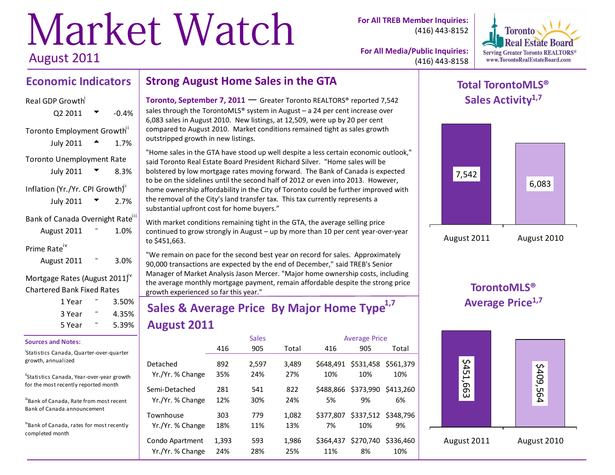# Market Watch August 2011

**For All TREB Member Inquiries:** (416) 443-8152



**For All Media/Public Inquiries:** (416) 443-8158

### **Economic Indicators Strong August Home Sales in the GTA**

### Real GDP Growth<sup>i</sup>  $Q2 2011$   $\bullet$  -0.4% Toronto Employment Growth<sup>i1</sup> July 2011  $\triangle$  1.7% Toronto Unemployment Rate July 2011  $\sqrt{ }$  8.3% Inflation (Yr./Yr. CPI Growth)<sup>"</sup> July 2011  $\sqrt{2}$  2.7% Bank of Canada Overnight Rate<sup>iii</sup> August  $2011 - 1.0\%$ Prime Rate<sup>iv</sup> August  $2011 - 3.0\%$ Mortgage Rates (August 2011)<sup>v</sup>

# Chartered Bank Fixed Rates

| 1 Year | 3.50% |
|--------|-------|
| 3 Year | 4.35% |
| 5 Year | 5.39% |

### **Sources and Notes:**

### i Statistics Canada, Quarter-over-quarter growth, annualized

"Statistics Canada, Year-over-year growth for the most recently reported month

iiiBank of Canada, Rate from most recent Bank of Canada announcement

ivBank of Canada, rates for most recently completed month

**Toronto, September 7, 2011 — Greater Toronto REALTORS® reported 7,542** sales through the TorontoMLS® system in August  $-$  a 24 per cent increase over 6,083 sales in August 2010. New listings, at 12,509, were up by 20 per cent compared to August 2010. Market conditions remained tight as sales growth outstripped growth in new listings.

"Home sales in the GTA have stood up well despite a less certain economic outlook," said Toronto Real Estate Board President Richard Silver. "Home sales will be bolstered by low mortgage rates moving forward. The Bank of Canada is expected to be on the sidelines until the second half of 2012 or even into 2013. However, home ownership affordability in the City of Toronto could be further improved with the removal of the City's land transfer tax. This tax currently represents a substantial upfront cost for home buyers."

With market conditions remaining tight in the GTA, the average selling price continued to grow strongly in August – up by more than 10 per cent year-over-year to \$451,663.

"We remain on pace for the second best year on record for sales. Approximately 90,000 transactions are expected by the end of December," said TREB's Senior Manager of Market Analysis Jason Mercer. "Major home ownership costs, including the average monthly mortgage payment, remain affordable despite the strong price growth experienced so far this year."

# **Sales & Average Price By Major Home Type1,7 August 2011**

|                               |            | <b>Sales</b> |              |                 | <b>Average Price</b> |                           |
|-------------------------------|------------|--------------|--------------|-----------------|----------------------|---------------------------|
|                               | 416        | 905          | Total        | 416             | 905                  | Total                     |
| Detached                      | 892        | 2,597        | 3,489        | \$648,491       | \$531,458            | \$561,379                 |
| Yr./Yr. % Change              | 35%        | 24%          | 27%          | 10%             | 10%                  | 10%                       |
| Semi-Detached                 | 281        | 541          | 822          | \$488.866       | \$373,990            | \$413,260                 |
| Yr./Yr. % Change              | 12%        | 30%          | 24%          | 5%              | 9%                   | 6%                        |
| Townhouse<br>Yr./Yr. % Change | 303<br>18% | 779<br>11%   | 1.082<br>13% | \$377,807<br>7% | 10%                  | \$337,512 \$348,796<br>9% |
| Condo Apartment               | 1,393      | 593          | 1,986        | \$364.437       | \$270,740            | \$336,460                 |
| Yr./Yr. % Change              | 24%        | 28%          | 25%          | 11%             | 8%                   | 10%                       |

### **Total TorontoMLS® Sales Activity1,7**



### **TorontoMLS® Average Price1,7**

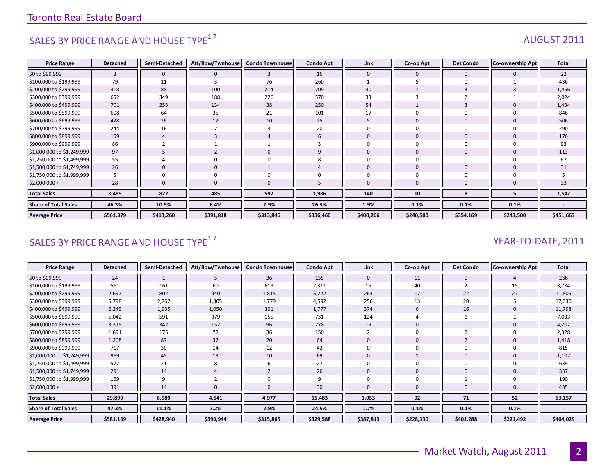# SALES BY PRICE RANGE AND HOUSE TYPE $^{1,7}$  AUGUST 2011

| <b>Price Range</b>          | <b>Detached</b> | Semi-Detached | Att/Row/Twnhouse | <b>Condo Townhouse</b> | <b>Condo Apt</b> | Link         | Co-op Apt      | <b>Det Condo</b> | <b>Co-ownership Apt</b> | <b>Total</b> |
|-----------------------------|-----------------|---------------|------------------|------------------------|------------------|--------------|----------------|------------------|-------------------------|--------------|
| \$0 to \$99,999             | 3               | $\mathbf 0$   | $\Omega$         | 3                      | 16               | $\mathbf{0}$ | $\mathbf{0}$   | $\mathbf{0}$     | O                       | 22           |
| \$100,000 to \$199,999      | 79              | 11            |                  | 76                     | 260              |              |                | $\Omega$         |                         | 436          |
| \$200,000 to \$299,999      | 318             | 88            | 100              | 214                    | 709              | 30           |                | $\overline{3}$   |                         | 1,466        |
| \$300,000 to \$399,999      | 652             | 349           | 188              | 226                    | 570              | 33           |                |                  |                         | 2,024        |
| \$400,000 to \$499,999      | 701             | 253           | 134              | 38                     | 250              | 54           |                | $\overline{3}$   |                         | 1,434        |
| \$500,000 to \$599,999      | 608             | 64            | 35               | 21                     | 101              | 17           |                |                  |                         | 846          |
| \$600,000 to \$699,999      | 428             | 26            | 12               | 10                     | 25               | 5            | $\overline{0}$ | $\mathbf 0$      |                         | 506          |
| \$700,000 to \$799,999      | 244             | 16            |                  | 3                      | 20               | $\Omega$     |                |                  |                         | 290          |
| \$800,000 to \$899,999      | 159             | 4             |                  |                        | 6                | $\mathbf 0$  |                | $\mathbf 0$      |                         | 176          |
| \$900,000 to \$999,999      | 86              |               |                  |                        |                  | $\Omega$     |                |                  |                         | 93           |
| \$1,000,000 to \$1,249,999  | 97              | 5             |                  | $\mathbf 0$            | 9                | $\Omega$     | $\overline{0}$ | $\Omega$         |                         | 113          |
| \$1,250,000 to \$1,499,999  | 55              | 4             |                  | $\Omega$               |                  | $\Omega$     | $\Omega$       | $\Omega$         |                         | 67           |
| \$1,500,000 to \$1,749,999  | 26              | $\mathbf 0$   |                  |                        |                  | $\mathbf{0}$ | $\Omega$       | $\mathbf 0$      |                         | 31           |
| \$1,750,000 to \$1,999,999  |                 | 0             |                  |                        |                  |              |                |                  |                         |              |
| $$2,000,000+$               | 28              | $\Omega$      |                  |                        |                  | $\Omega$     |                |                  |                         | 33           |
| <b>Total Sales</b>          | 3,489           | 822           | 485              | 597                    | 1,986            | 140          | 10             | 8                |                         | 7,542        |
| <b>Share of Total Sales</b> | 46.3%           | 10.9%         | 6.4%             | 7.9%                   | 26.3%            | 1.9%         | 0.1%           | 0.1%             | 0.1%                    |              |
| <b>Average Price</b>        | \$561,379       | \$413,260     | \$391,818        | \$313,846              | \$336,460        | \$400,206    | \$240,500      | \$354,169        | \$243,500               | \$451,663    |

### SALES BY PRICE RANGE AND HOUSE TYPE<sup>1,7</sup>  $\sqrt{2}$  and  $\sqrt{2}$  and  $\sqrt{2}$  and  $\sqrt{2}$  and  $\sqrt{2}$  and  $\sqrt{2}$  and  $\sqrt{2}$  and  $\sqrt{2}$  and  $\sqrt{2}$  and  $\sqrt{2}$  and  $\sqrt{2}$  and  $\sqrt{2}$  and  $\sqrt{2}$  and  $\sqrt{2}$  and  $\sqrt{2}$  and

| <b>Price Range</b>          | <b>Detached</b> | Semi-Detached | Att/Row/Twnhouse   Condo Townhouse |           | <b>Condo Apt</b> | Link      | Co-op Apt | <b>Det Condo</b> | <b>Co-ownership Apt</b> | <b>Total</b> |
|-----------------------------|-----------------|---------------|------------------------------------|-----------|------------------|-----------|-----------|------------------|-------------------------|--------------|
| \$0 to \$99,999             | 24              |               | כ                                  | 36        | 155              | 0         | 11        | 0                |                         | 236          |
| \$100,000 to \$199,999      | 561             | 161           | 60                                 | 619       | 2,311            | 15        | 40        |                  | 15                      | 3,784        |
| \$200,000 to \$299,999      | 2,697           | 802           | 940                                | 1,815     | 5,222            | 263       | 17        | 22               | 27                      | 11,805       |
| \$300,000 to \$399,999      | 5,798           | 2,762         | 1,805                              | 1,779     | 4,592            | 256       | 13        | 20               |                         | 17,030       |
| \$400,000 to \$499,999      | 6,249           | 1,935         | 1,050                              | 391       | 1,777            | 374       | 6         | 16               |                         | 11,798       |
| \$500,000 to \$599,999      | 5,042           | 591           | 379                                | 155       | 731              | 124       |           | 6                |                         | 7,033        |
| \$600,000 to \$699,999      | 3,315           | 342           | 152                                | 96        | 278              | 19        |           | $\mathbf 0$      |                         | 4,202        |
| \$700,000 to \$799,999      | 1,891           | 175           | 72                                 | 36        | 150              |           |           |                  |                         | 2,328        |
| \$800,000 to \$899,999      | 1,208           | 87            | 37                                 | 20        | 64               |           |           | $\overline{2}$   |                         | 1,418        |
| \$900,000 to \$999,999      | 717             | 30            | 14                                 | 12        | 42               |           |           | 0                |                         | 815          |
| \$1,000,000 to \$1,249,999  | 969             | 45            | 13                                 | 10        | 69               |           |           | 0                |                         | 1,107        |
| \$1,250,000 to \$1,499,999  | 577             | 21            | 8                                  | 6         | 27               |           |           | 0                |                         | 639          |
| \$1,500,000 to \$1,749,999  | 291             | 14            |                                    |           | 26               | 0         | 0         | 0                |                         | 337          |
| \$1,750,000 to \$1,999,999  | 169             | 9             |                                    | 0         |                  |           |           |                  |                         | 190          |
| $$2,000,000 +$              | 391             | 14            |                                    | $\Omega$  | 30               |           |           | $\Omega$         |                         | 435          |
| <b>Total Sales</b>          | 29,899          | 6,989         | 4,541                              | 4,977     | 15,483           | 1,053     | 92        | 71               | 52                      | 63,157       |
| <b>Share of Total Sales</b> | 47.3%           | 11.1%         | 7.2%                               | 7.9%      | 24.5%            | 1.7%      | 0.1%      | 0.1%             | 0.1%                    |              |
| <b>Average Price</b>        | \$581,139       | \$428,940     | \$393,944                          | \$315,865 | \$329,588        | \$387,813 | \$228,330 | \$401,288        | \$221,492               | \$464,029    |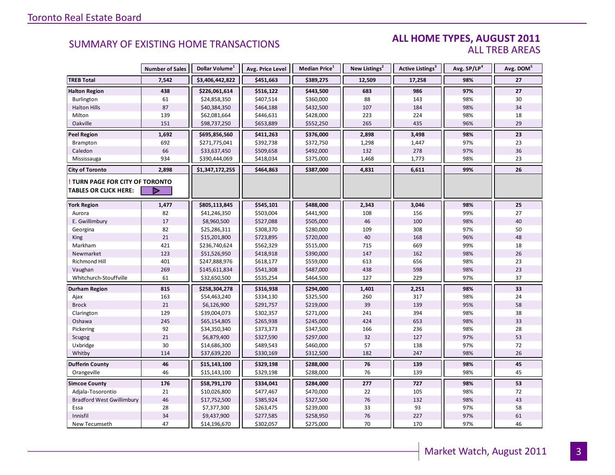### **ALL HOME TYPES, AUGUST 2011** ALL TREB AREAS

|                                  | <b>Number of Sales</b> | Dollar Volume <sup>1</sup> | Avg. Price Level | Median Price <sup>1</sup> | New Listings <sup>2</sup> | Active Listings <sup>3</sup> | Avg. SP/LP <sup>4</sup> | Avg. DOM <sup>5</sup> |
|----------------------------------|------------------------|----------------------------|------------------|---------------------------|---------------------------|------------------------------|-------------------------|-----------------------|
| <b>TREB Total</b>                | 7,542                  | \$3,406,442,822            | \$451,663        | \$389,275                 | 12,509                    | 17,258                       | 98%                     | 27                    |
| <b>Halton Region</b>             | 438                    | \$226,061,614              | \$516,122        | \$443,500                 | 683                       | 986                          | 97%                     | 27                    |
| <b>Burlington</b>                | 61                     | \$24,858,350               | \$407,514        | \$360,000                 | 88                        | 143                          | 98%                     | 30                    |
| <b>Halton Hills</b>              | 87                     | \$40,384,350               | \$464,188        | \$432,500                 | 107                       | 184                          | 98%                     | 34                    |
| Milton                           | 139                    | \$62,081,664               | \$446,631        | \$428,000                 | 223                       | 224                          | 98%                     | 18                    |
| Oakville                         | 151                    | \$98,737,250               | \$653,889        | \$552,250                 | 265                       | 435                          | 96%                     | 29                    |
| <b>Peel Region</b>               | 1,692                  | \$695,856,560              | \$411,263        | \$376,000                 | 2,898                     | 3,498                        | 98%                     | 23                    |
| Brampton                         | 692                    | \$271,775,041              | \$392,738        | \$372,750                 | 1,298                     | 1,447                        | 97%                     | 23                    |
| Caledon                          | 66                     | \$33,637,450               | \$509,658        | \$492,000                 | 132                       | 278                          | 97%                     | 36                    |
| Mississauga                      | 934                    | \$390,444,069              | \$418,034        | \$375,000                 | 1,468                     | 1,773                        | 98%                     | 23                    |
| <b>City of Toronto</b>           | 2,898                  | \$1,347,172,255            | \$464,863        | \$387,000                 | 4,831                     | 6,611                        | 99%                     | 26                    |
| TURN PAGE FOR CITY OF TORONTO    |                        |                            |                  |                           |                           |                              |                         |                       |
| TABLES OR CLICK HERE:            | D                      |                            |                  |                           |                           |                              |                         |                       |
| <b>York Region</b>               | 1,477                  | \$805,113,845              | \$545,101        | \$488,000                 | 2,343                     | 3,046                        | 98%                     | 25                    |
| Aurora                           | 82                     | \$41,246,350               | \$503,004        | \$441,900                 | 108                       | 156                          | 99%                     | 27                    |
| E. Gwillimbury                   | 17                     | \$8,960,500                | \$527,088        | \$505,000                 | 46                        | 100                          | 98%                     | 40                    |
| Georgina                         | 82                     | \$25,286,311               | \$308,370        | \$280,000                 | 109                       | 308                          | 97%                     | 50                    |
| King                             | 21                     | \$15,201,800               | \$723,895        | \$720,000                 | 40                        | 168                          | 96%                     | 48                    |
| Markham                          | 421                    | \$236,740,624              | \$562,329        | \$515,000                 | 715                       | 669                          | 99%                     | 18                    |
| Newmarket                        | 123                    | \$51,526,950               | \$418,918        | \$390,000                 | 147                       | 162                          | 98%                     | 26                    |
| Richmond Hill                    | 401                    | \$247,888,976              | \$618,177        | \$559,000                 | 613                       | 656                          | 98%                     | 23                    |
| Vaughan                          | 269                    | \$145,611,834              | \$541,308        | \$487,000                 | 438                       | 598                          | 98%                     | 23                    |
| Whitchurch-Stouffville           | 61                     | \$32,650,500               | \$535,254        | \$464,500                 | 127                       | 229                          | 97%                     | 37                    |
| Durham Region                    | 815                    | \$258,304,278              | \$316,938        | \$294,000                 | 1,401                     | 2,251                        | 98%                     | 33                    |
| Ajax                             | 163                    | \$54,463,240               | \$334,130        | \$325,500                 | 260                       | 317                          | 98%                     | 24                    |
| <b>Brock</b>                     | 21                     | \$6,126,900                | \$291,757        | \$219,000                 | 39                        | 139                          | 95%                     | 58                    |
| Clarington                       | 129                    | \$39,004,073               | \$302,357        | \$271,000                 | 241                       | 394                          | 98%                     | 38                    |
| Oshawa                           | 245                    | \$65,154,805               | \$265,938        | \$245,000                 | 424                       | 653                          | 98%                     | 33                    |
| Pickering                        | 92                     | \$34,350,340               | \$373,373        | \$347,500                 | 166                       | 236                          | 98%                     | 28                    |
| Scugog                           | 21                     | \$6,879,400                | \$327,590        | \$297,000                 | 32                        | 127                          | 97%                     | 53                    |
| Uxbridge                         | 30                     | \$14,686,300               | \$489,543        | \$460,000                 | 57                        | 138                          | 97%                     | 72                    |
| Whitby                           | 114                    | \$37,639,220               | \$330,169        | \$312,500                 | 182                       | 247                          | 98%                     | 26                    |
| <b>Dufferin County</b>           | 46                     | \$15,143,100               | \$329,198        | \$288,000                 | 76                        | 139                          | 98%                     | 45                    |
| Orangeville                      | 46                     | \$15,143,100               | \$329,198        | \$288,000                 | 76                        | 139                          | 98%                     | 45                    |
| <b>Simcoe County</b>             | 176                    | \$58,791,170               | \$334,041        | \$284,000                 | 277                       | 727                          | 98%                     | 53                    |
| Adjala-Tosorontio                | 21                     | \$10,026,800               | \$477,467        | \$470,000                 | 22                        | 105                          | 98%                     | 72                    |
| <b>Bradford West Gwillimbury</b> | 46                     | \$17,752,500               | \$385,924        | \$327,500                 | 76                        | 132                          | 98%                     | 43                    |
| Essa                             | 28                     | \$7,377,300                | \$263,475        | \$239,000                 | 33                        | 93                           | 97%                     | 58                    |
| Innisfil                         | 34                     | \$9,437,900                | \$277,585        | \$258,950                 | 76                        | 227                          | 97%                     | 61                    |
| New Tecumseth                    | 47                     | \$14,196,670               | \$302,057        | \$275,000                 | 70                        | 170                          | 97%                     | 46                    |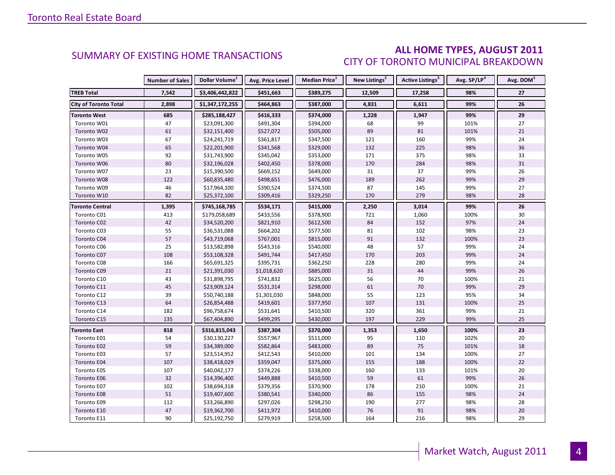### **ALL HOME TYPES, AUGUST 2011** CITY OF TORONTO MUNICIPAL BREAKDOWN

|                              | <b>Number of Sales</b> | Dollar Volume <sup>1</sup> | Avg. Price Level | Median Price <sup>1</sup> | New Listings <sup>2</sup> | Active Listings <sup>3</sup> | Avg. SP/LP <sup>4</sup> | Avg. DOM <sup>5</sup> |
|------------------------------|------------------------|----------------------------|------------------|---------------------------|---------------------------|------------------------------|-------------------------|-----------------------|
| <b>TREB Total</b>            | 7,542                  | \$3,406,442,822            | \$451,663        | \$389,275                 | 12,509                    | 17,258                       | 98%                     | 27                    |
| <b>City of Toronto Total</b> | 2,898                  | \$1,347,172,255            | \$464,863        | \$387,000                 | 4,831                     | 6,611                        | 99%                     | 26                    |
| <b>Toronto West</b>          | 685                    | \$285,188,427              | \$416,333        | \$374,000                 | 1,228                     | 1,947                        | 99%                     | 29                    |
| Toronto W01                  | 47                     | \$23,091,300               | \$491,304        | \$394,000                 | 68                        | 99                           | 101%                    | 27                    |
| Toronto W02                  | 61                     | \$32,151,400               | \$527,072        | \$505,000                 | 89                        | 81                           | 101%                    | 21                    |
| Toronto W03                  | 67                     | \$24,241,719               | \$361,817        | \$347,500                 | 121                       | 160                          | 99%                     | 24                    |
| Toronto W04                  | 65                     | \$22,201,900               | \$341,568        | \$329,000                 | 132                       | 225                          | 98%                     | 36                    |
| Toronto W05                  | 92                     | \$31,743,900               | \$345,042        | \$353,000                 | 171                       | 375                          | 98%                     | 33                    |
| Toronto W06                  | 80                     | \$32,196,028               | \$402,450        | \$378,000                 | 170                       | 284                          | 98%                     | 31                    |
| Toronto W07                  | 23                     | \$15,390,500               | \$669,152        | \$649,000                 | 31                        | 37                           | 99%                     | 26                    |
| Toronto W08                  | 122                    | \$60,835,480               | \$498,651        | \$476,000                 | 189                       | 262                          | 99%                     | 29                    |
| Toronto W09                  | 46                     | \$17,964,100               | \$390,524        | \$374,500                 | 87                        | 145                          | 99%                     | 27                    |
| Toronto W10                  | 82                     | \$25,372,100               | \$309,416        | \$329,250                 | 170                       | 279                          | 98%                     | 28                    |
| <b>Toronto Central</b>       | 1,395                  | \$745,168,785              | \$534,171        | \$415,000                 | 2,250                     | 3,014                        | 99%                     | 26                    |
| Toronto C01                  | 413                    | \$179,058,689              | \$433,556        | \$378,900                 | 721                       | 1,060                        | 100%                    | 30                    |
| Toronto C02                  | 42                     | \$34,520,200               | \$821,910        | \$612,500                 | 84                        | 152                          | 97%                     | 24                    |
| Toronto C03                  | 55                     | \$36,531,088               | \$664,202        | \$577,500                 | 81                        | 102                          | 98%                     | 23                    |
| Toronto C04                  | 57                     | \$43,719,068               | \$767,001        | \$815,000                 | 91                        | 132                          | 100%                    | 23                    |
| Toronto C06                  | 25                     | \$13,582,898               | \$543,316        | \$540,000                 | 48                        | 57                           | 99%                     | 24                    |
| Toronto C07                  | 108                    | \$53,108,328               | \$491,744        | \$417,450                 | 170                       | 203                          | 99%                     | 24                    |
| Toronto C08                  | 166                    | \$65,691,325               | \$395,731        | \$362,250                 | 228                       | 280                          | 99%                     | 24                    |
| Toronto C09                  | 21                     | \$21,391,030               | \$1,018,620      | \$885,000                 | 31                        | 44                           | 99%                     | 26                    |
| Toronto C10                  | 43                     | \$31,898,795               | \$741,832        | \$625,000                 | 56                        | 70                           | 100%                    | 21                    |
| Toronto C11                  | 45                     | \$23,909,124               | \$531,314        | \$298,000                 | 61                        | 70                           | 99%                     | 29                    |
| Toronto C12                  | 39                     | \$50,740,188               | \$1,301,030      | \$848,000                 | 55                        | 123                          | 95%                     | 34                    |
| Toronto C13                  | 64                     | \$26,854,488               | \$419,601        | \$377,950                 | 107                       | 131                          | 100%                    | 25                    |
| Toronto C14                  | 182                    | \$96,758,674               | \$531,641        | \$410,500                 | 320                       | 361                          | 99%                     | 21                    |
| Toronto C15                  | 135                    | \$67,404,890               | \$499,295        | \$430,000                 | 197                       | 229                          | 99%                     | 25                    |
| <b>Toronto East</b>          | 818                    | \$316,815,043              | \$387,304        | \$370,000                 | 1,353                     | 1,650                        | 100%                    | 23                    |
| Toronto E01                  | 54                     | \$30,130,227               | \$557,967        | \$511,000                 | 95                        | 110                          | 102%                    | 20                    |
| Toronto E02                  | 59                     | \$34,389,000               | \$582,864        | \$483,000                 | 89                        | 75                           | 101%                    | 18                    |
| Toronto E03                  | 57                     | \$23,514,952               | \$412,543        | \$410,000                 | 101                       | 134                          | 100%                    | 27                    |
| Toronto E04                  | 107                    | \$38,418,029               | \$359,047        | \$375,000                 | 155                       | 188                          | 100%                    | 22                    |
| Toronto E05                  | 107                    | \$40,042,177               | \$374,226        | \$338,000                 | 160                       | 133                          | 101%                    | 20                    |
| Toronto E06                  | 32                     | \$14,396,400               | \$449,888        | \$410,500                 | 59                        | 61                           | 99%                     | 26                    |
| Toronto E07                  | 102                    | \$38,694,318               | \$379,356        | \$370,900                 | 178                       | 210                          | 100%                    | 21                    |
| <b>Toronto E08</b>           | $51\,$                 | \$19,407,600               | \$380,541        | \$340,000                 | 86                        | 155                          | 98%                     | 24                    |
| Toronto E09                  | 112                    | \$33,266,890               | \$297,026        | \$298,250                 | 190                       | 277                          | 98%                     | 28                    |
| Toronto E10                  | 47                     | \$19,362,700               | \$411,972        | \$410,000                 | 76                        | $91\,$                       | 98%                     | 20                    |
| Toronto E11                  | 90                     | \$25,192,750               | \$279,919        | \$258,500                 | 164                       | 216                          | 98%                     | 29                    |

4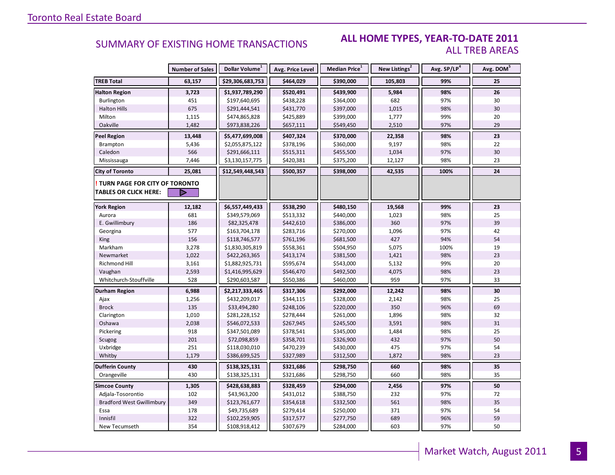### **ALL HOME TYPES, YEAR-TO-DATE 2011** ALL TREB AREAS

|                                  | <b>Number of Sales</b> | Dollar Volume <sup>1</sup> | Avg. Price Level | Median Price <sup>1</sup> | New Listings <sup>2</sup> | Avg. SP/LP <sup>4</sup> | Avg. DOM <sup>5</sup> |
|----------------------------------|------------------------|----------------------------|------------------|---------------------------|---------------------------|-------------------------|-----------------------|
| <b>TREB Total</b>                | 63,157                 | \$29,306,683,753           | \$464,029        | \$390,000                 | 105,803                   | 99%                     | 25                    |
| <b>Halton Region</b>             | 3,723                  | \$1,937,789,290            | \$520,491        | \$439,900                 | 5,984                     | 98%                     | 26                    |
| Burlington                       | 451                    | \$197,640,695              | \$438,228        | \$364,000                 | 682                       | 97%                     | 30                    |
| <b>Halton Hills</b>              | 675                    | \$291,444,541              | \$431,770        | \$397,000                 | 1,015                     | 98%                     | 30                    |
| Milton                           | 1,115                  | \$474,865,828              | \$425,889        | \$399,000                 | 1,777                     | 99%                     | 20                    |
| Oakville                         | 1,482                  | \$973,838,226              | \$657,111        | \$549,450                 | 2,510                     | 97%                     | 29                    |
| <b>Peel Region</b>               | 13,448                 | \$5,477,699,008            | \$407,324        | \$370,000                 | 22,358                    | 98%                     | 23                    |
| Brampton                         | 5,436                  | \$2,055,875,122            | \$378,196        | \$360,000                 | 9,197                     | 98%                     | 22                    |
| Caledon                          | 566                    | \$291,666,111              | \$515,311        | \$455,500                 | 1,034                     | 97%                     | 30                    |
| Mississauga                      | 7,446                  | \$3,130,157,775            | \$420,381        | \$375,200                 | 12,127                    | 98%                     | 23                    |
| <b>City of Toronto</b>           | 25,081                 | \$12,549,448,543           | \$500,357        | \$398,000                 | 42,535                    | 100%                    | 24                    |
| TURN PAGE FOR CITY OF TORONTO    |                        |                            |                  |                           |                           |                         |                       |
| <b>TABLES OR CLICK HERE:</b>     |                        |                            |                  |                           |                           |                         |                       |
| <b>York Region</b>               | 12,182                 | \$6,557,449,433            | \$538,290        | \$480,150                 | 19,568                    | 99%                     | 23                    |
| Aurora                           | 681                    | \$349,579,069              | \$513,332        | \$440,000                 | 1,023                     | 98%                     | 25                    |
| E. Gwillimbury                   | 186                    | \$82,325,478               | \$442,610        | \$386,000                 | 360                       | 97%                     | 39                    |
| Georgina                         | 577                    | \$163,704,178              | \$283,716        | \$270,000                 | 1,096                     | 97%                     | 42                    |
| King                             | 156                    | \$118,746,577              | \$761,196        | \$681,500                 | 427                       | 94%                     | 54                    |
| Markham                          | 3,278                  | \$1,830,305,819            | \$558,361        | \$504,950                 | 5,075                     | 100%                    | 19                    |
| Newmarket                        | 1,022                  | \$422,263,365              | \$413,174        | \$381,500                 | 1,421                     | 98%                     | 23                    |
| Richmond Hill                    | 3,161                  | \$1,882,925,731            | \$595,674        | \$543,000                 | 5,132                     | 99%                     | 20                    |
| Vaughan                          | 2,593                  | \$1,416,995,629            | \$546,470        | \$492,500                 | 4,075                     | 98%                     | 23                    |
| Whitchurch-Stouffville           | 528                    | \$290,603,587              | \$550,386        | \$460,000                 | 959                       | 97%                     | 33                    |
| Durham Region                    | 6,988                  | \$2,217,333,465            | \$317,306        | \$292,000                 | 12,242                    | 98%                     | 30                    |
| Ajax                             | 1,256                  | \$432,209,017              | \$344,115        | \$328,000                 | 2,142                     | 98%                     | 25                    |
| <b>Brock</b>                     | 135                    | \$33,494,280               | \$248,106        | \$220,000                 | 350                       | 96%                     | 69                    |
| Clarington                       | 1,010                  | \$281,228,152              | \$278,444        | \$261,000                 | 1,896                     | 98%                     | 32                    |
| Oshawa                           | 2,038                  | \$546,072,533              | \$267,945        | \$245,500                 | 3,591                     | 98%                     | 31                    |
| Pickering                        | 918                    | \$347,501,089              | \$378,541        | \$345,000                 | 1,484                     | 98%                     | 25                    |
| Scugog                           | 201                    | \$72,098,859               | \$358,701        | \$326,900                 | 432                       | 97%                     | 50                    |
| Uxbridge                         | 251                    | \$118,030,010              | \$470,239        | \$430,000                 | 475                       | 97%                     | 54                    |
| Whitby                           | 1,179                  | \$386,699,525              | \$327,989        | \$312,500                 | 1,872                     | 98%                     | 23                    |
| <b>Dufferin County</b>           | 430                    | \$138,325,131              | \$321,686        | \$298,750                 | 660                       | 98%                     | 35                    |
| Orangeville                      | 430                    | \$138,325,131              | \$321,686        | \$298,750                 | 660                       | 98%                     | 35                    |
| <b>Simcoe County</b>             | 1,305                  | \$428,638,883              | \$328,459        | \$294,000                 | 2,456                     | 97%                     | 50                    |
| Adjala-Tosorontio                | 102                    | \$43,963,200               | \$431,012        | \$388,750                 | 232                       | 97%                     | 72                    |
| <b>Bradford West Gwillimbury</b> | 349                    | \$123,761,677              | \$354,618        | \$332,500                 | 561                       | 98%                     | 35                    |
| Essa                             | 178                    | \$49,735,689               | \$279,414        | \$250,000                 | 371                       | 97%                     | 54                    |
| Innisfil                         | 322                    | \$102,259,905              | \$317,577        | \$277,750                 | 689                       | 96%                     | 59                    |
| New Tecumseth                    | 354                    | \$108,918,412              | \$307,679        | \$284,000                 | 603                       | 97%                     | 50                    |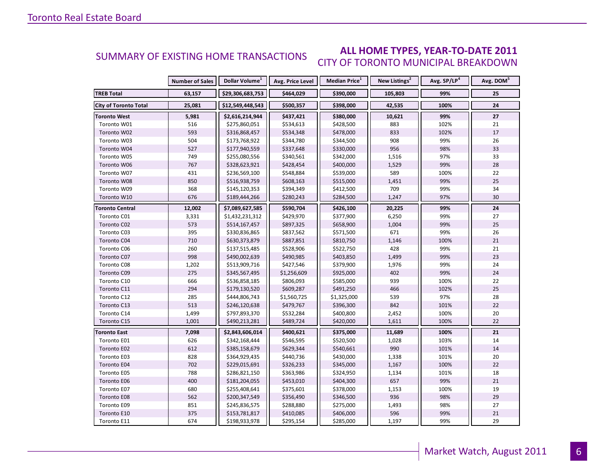### **ALL HOME TYPES, YEAR-TO-DATE 2011** CITY OF TORONTO MUNICIPAL BREAKDOWN SUMMARY OF EXISTING HOME TRANSACTIONS

|                              | <b>Number of Sales</b> | Dollar Volume <sup>1</sup> | Avg. Price Level | Median Price <sup>1</sup> | New Listings <sup>2</sup> | Avg. SP/LP <sup>4</sup> | Avg. DOM <sup>5</sup> |
|------------------------------|------------------------|----------------------------|------------------|---------------------------|---------------------------|-------------------------|-----------------------|
| <b>TREB Total</b>            | 63,157                 | \$29,306,683,753           | \$464,029        | \$390,000                 | 105,803                   | 99%                     | 25                    |
| <b>City of Toronto Total</b> | 25,081                 | \$12,549,448,543           | \$500,357        | \$398,000                 | 42,535                    | 100%                    | 24                    |
| <b>Toronto West</b>          | 5,981                  | \$2,616,214,944            | \$437,421        | \$380,000                 | 10,621                    | 99%                     | 27                    |
| Toronto W01                  | 516                    | \$275,860,051              | \$534,613        | \$428,500                 | 883                       | 102%                    | 21                    |
| Toronto W02                  | 593                    | \$316,868,457              | \$534,348        | \$478,000                 | 833                       | 102%                    | 17                    |
| Toronto W03                  | 504                    | \$173,768,922              | \$344,780        | \$344,500                 | 908                       | 99%                     | 26                    |
| Toronto W04                  | 527                    | \$177,940,559              | \$337,648        | \$330,000                 | 956                       | 98%                     | 33                    |
| Toronto W05                  | 749                    | \$255,080,556              | \$340,561        | \$342,000                 | 1,516                     | 97%                     | 33                    |
| Toronto W06                  | 767                    | \$328,623,921              | \$428,454        | \$400,000                 | 1,529                     | 99%                     | 28                    |
| Toronto W07                  | 431                    | \$236,569,100              | \$548,884        | \$539,000                 | 589                       | 100%                    | 22                    |
| Toronto W08                  | 850                    | \$516,938,759              | \$608,163        | \$515,000                 | 1,451                     | 99%                     | 25                    |
| Toronto W09                  | 368                    | \$145,120,353              | \$394,349        | \$412,500                 | 709                       | 99%                     | 34                    |
| Toronto W10                  | 676                    | \$189,444,266              | \$280,243        | \$284,500                 | 1,247                     | 97%                     | 30                    |
| <b>Toronto Central</b>       | 12,002                 | \$7,089,627,585            | \$590,704        | \$426,100                 | 20,225                    | 99%                     | 24                    |
| Toronto C01                  | 3,331                  | \$1,432,231,312            | \$429,970        | \$377,900                 | 6,250                     | 99%                     | 27                    |
| Toronto C02                  | 573                    | \$514,167,457              | \$897,325        | \$658,900                 | 1,004                     | 99%                     | 25                    |
| Toronto C03                  | 395                    | \$330,836,865              | \$837,562        | \$571,500                 | 671                       | 99%                     | 26                    |
| Toronto C04                  | 710                    | \$630,373,879              | \$887,851        | \$810,750                 | 1,146                     | 100%                    | 21                    |
| Toronto C06                  | 260                    | \$137,515,485              | \$528,906        | \$522,750                 | 428                       | 99%                     | 21                    |
| Toronto C07                  | 998                    | \$490,002,639              | \$490,985        | \$403,850                 | 1,499                     | 99%                     | 23                    |
| Toronto C08                  | 1,202                  | \$513,909,716              | \$427,546        | \$379,900                 | 1,976                     | 99%                     | 24                    |
| Toronto C09                  | 275                    | \$345,567,495              | \$1,256,609      | \$925,000                 | 402                       | 99%                     | 24                    |
| Toronto C10                  | 666                    | \$536,858,185              | \$806,093        | \$585,000                 | 939                       | 100%                    | 22                    |
| Toronto C11                  | 294                    | \$179,130,520              | \$609,287        | \$491,250                 | 466                       | 102%                    | 25                    |
| Toronto C12                  | 285                    | \$444,806,743              | \$1,560,725      | \$1,325,000               | 539                       | 97%                     | 28                    |
| Toronto C13                  | 513                    | \$246,120,638              | \$479,767        | \$396,300                 | 842                       | 101%                    | 22                    |
| Toronto C14                  | 1,499                  | \$797,893,370              | \$532,284        | \$400,800                 | 2,452                     | 100%                    | 20                    |
| Toronto C15                  | 1,001                  | \$490,213,281              | \$489,724        | \$420,000                 | 1,611                     | 100%                    | 22                    |
| <b>Toronto East</b>          | 7,098                  | \$2,843,606,014            | \$400,621        | \$375,000                 | 11,689                    | 100%                    | 21                    |
| Toronto E01                  | 626                    | \$342,168,444              | \$546,595        | \$520,500                 | 1,028                     | 103%                    | 14                    |
| Toronto E02                  | 612                    | \$385,158,679              | \$629,344        | \$540,661                 | 990                       | 101%                    | 14                    |
| Toronto E03                  | 828                    | \$364,929,435              | \$440,736        | \$430,000                 | 1,338                     | 101%                    | 20                    |
| Toronto E04                  | 702                    | \$229,015,691              | \$326,233        | \$345,000                 | 1,167                     | 100%                    | 22                    |
| Toronto E05                  | 788                    | \$286,821,150              | \$363,986        | \$324,950                 | 1,134                     | 101%                    | 18                    |
| Toronto E06                  | 400                    | \$181,204,055              | \$453,010        | \$404,300                 | 657                       | 99%                     | 21                    |
| Toronto E07                  | 680                    | \$255,408,641              | \$375,601        | \$378,000                 | 1,153                     | 100%                    | 19                    |
| Toronto E08                  | 562                    | \$200,347,549              | \$356,490        | \$346,500                 | 936                       | 98%                     | 29                    |
| Toronto E09                  | 851                    | \$245,836,575              | \$288,880        | \$275,000                 | 1,493                     | 98%                     | 27                    |
| Toronto E10                  | 375                    | \$153,781,817              | \$410,085        | \$406,000                 | 596                       | 99%                     | 21                    |
| Toronto E11                  | 674                    | \$198,933,978              | \$295,154        | \$285,000                 | 1,197                     | 99%                     | 29                    |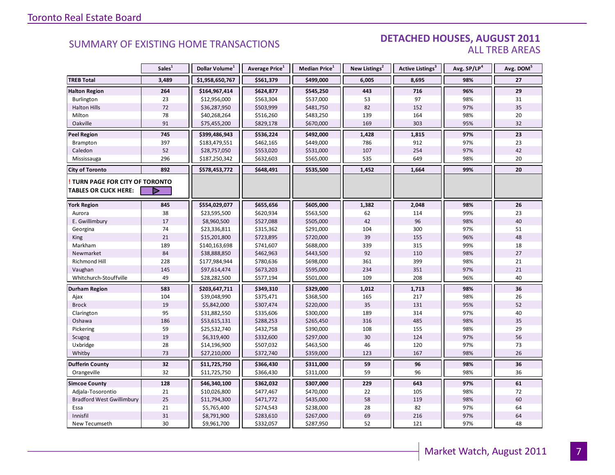### DETACHED HOUSES, AUGUST 2011 ALL TREB AREAS

|                                  | Sales <sup>1</sup> | Dollar Volume <sup>1</sup> | Average Price <sup>1</sup> | Median Price <sup>1</sup> | New Listings <sup>2</sup> | Active Listings <sup>3</sup> | Avg. SP/LP <sup>4</sup> | Avg. DOM <sup>5</sup> |
|----------------------------------|--------------------|----------------------------|----------------------------|---------------------------|---------------------------|------------------------------|-------------------------|-----------------------|
| <b>TREB Total</b>                | 3,489              | \$1,958,650,767            | \$561,379                  | \$499,000                 | 6,005                     | 8,695                        | 98%                     | 27                    |
| <b>Halton Region</b>             | 264                | \$164,967,414              | \$624,877                  | \$545,250                 | 443                       | 716                          | 96%                     | 29                    |
| Burlington                       | 23                 | \$12,956,000               | \$563,304                  | \$537,000                 | 53                        | 97                           | 98%                     | 31                    |
| <b>Halton Hills</b>              | $72\,$             | \$36,287,950               | \$503,999                  | \$481,750                 | 82                        | 152                          | 97%                     | 35                    |
| Milton                           | 78                 | \$40,268,264               | \$516,260                  | \$483,250                 | 139                       | 164                          | 98%                     | 20                    |
| Oakville                         | 91                 | \$75,455,200               | \$829,178                  | \$670,000                 | 169                       | 303                          | 95%                     | 32                    |
| <b>Peel Region</b>               | 745                | \$399,486,943              | \$536,224                  | \$492,000                 | 1,428                     | 1,815                        | 97%                     | 23                    |
| Brampton                         | 397                | \$183,479,551              | \$462,165                  | \$449,000                 | 786                       | 912                          | 97%                     | 23                    |
| Caledon                          | 52                 | \$28,757,050               | \$553,020                  | \$531,000                 | 107                       | 254                          | 97%                     | 42                    |
| Mississauga                      | 296                | \$187,250,342              | \$632,603                  | \$565,000                 | 535                       | 649                          | 98%                     | 20                    |
| <b>City of Toronto</b>           | 892                | \$578,453,772              | \$648,491                  | \$535,500                 | 1,452                     | 1,664                        | 99%                     | 20                    |
| TURN PAGE FOR CITY OF TORONTO    |                    |                            |                            |                           |                           |                              |                         |                       |
| TABLES OR CLICK HERE:            | D                  |                            |                            |                           |                           |                              |                         |                       |
| <b>York Region</b>               | 845                | \$554,029,077              | \$655,656                  | \$605,000                 | 1,382                     | 2,048                        | 98%                     | 26                    |
| Aurora                           | 38                 | \$23,595,500               | \$620,934                  | \$563,500                 | 62                        | 114                          | 99%                     | 23                    |
| E. Gwillimbury                   | 17                 | \$8,960,500                | \$527,088                  | \$505,000                 | 42                        | 96                           | 98%                     | 40                    |
| Georgina                         | 74                 | \$23,336,811               | \$315,362                  | \$291,000                 | 104                       | 300                          | 97%                     | 51                    |
| King                             | 21                 | \$15,201,800               | \$723,895                  | \$720,000                 | 39                        | 155                          | 96%                     | 48                    |
| Markham                          | 189                | \$140,163,698              | \$741,607                  | \$688,000                 | 339                       | 315                          | 99%                     | 18                    |
| Newmarket                        | 84                 | \$38,888,850               | \$462,963                  | \$443,500                 | 92                        | 110                          | 98%                     | 27                    |
| Richmond Hill                    | 228                | \$177,984,944              | \$780,636                  | \$698,000                 | 361                       | 399                          | 98%                     | 21                    |
| Vaughan                          | 145                | \$97,614,474               | \$673,203                  | \$595,000                 | 234                       | 351                          | 97%                     | 21                    |
| Whitchurch-Stouffville           | 49                 | \$28,282,500               | \$577,194                  | \$501,000                 | 109                       | 208                          | 96%                     | 40                    |
| Durham Region                    | 583                | \$203,647,711              | \$349,310                  | \$329,000                 | 1,012                     | 1,713                        | 98%                     | 36                    |
| Ajax                             | 104                | \$39,048,990               | \$375,471                  | \$368,500                 | 165                       | 217                          | 98%                     | 26                    |
| <b>Brock</b>                     | 19                 | \$5,842,000                | \$307,474                  | \$220,000                 | 35                        | 131                          | 95%                     | 52                    |
| Clarington                       | 95                 | \$31,882,550               | \$335,606                  | \$300,000                 | 189                       | 314                          | 97%                     | 40                    |
| Oshawa                           | 186                | \$53,615,131               | \$288,253                  | \$265,450                 | 316                       | 485                          | 98%                     | 35                    |
| Pickering                        | 59                 | \$25,532,740               | \$432,758                  | \$390,000                 | 108                       | 155                          | 98%                     | 29                    |
| Scugog                           | 19                 | \$6,319,400                | \$332,600                  | \$297,000                 | 30                        | 124                          | 97%                     | 56                    |
| Uxbridge                         | 28                 | \$14,196,900               | \$507,032                  | \$463,500                 | 46                        | 120                          | 97%                     | 73                    |
| Whitby                           | 73                 | \$27,210,000               | \$372,740                  | \$359,000                 | 123                       | 167                          | 98%                     | 26                    |
| <b>Dufferin County</b>           | 32                 | \$11,725,750               | \$366,430                  | \$311,000                 | 59                        | 96                           | 98%                     | 36                    |
| Orangeville                      | 32                 | \$11,725,750               | \$366,430                  | \$311,000                 | 59                        | 96                           | 98%                     | 36                    |
| <b>Simcoe County</b>             | 128                | \$46,340,100               | \$362,032                  | \$307,000                 | 229                       | 643                          | 97%                     | 61                    |
| Adjala-Tosorontio                | 21                 | \$10,026,800               | \$477,467                  | \$470,000                 | 22                        | 105                          | 98%                     | 72                    |
| <b>Bradford West Gwillimbury</b> | 25                 | \$11,794,300               | \$471,772                  | \$435,000                 | 58                        | 119                          | 98%                     | 60                    |
| Essa                             | 21                 | \$5,765,400                | \$274,543                  | \$238,000                 | 28                        | 82                           | 97%                     | 64                    |
| Innisfil                         | 31                 | \$8,791,900                | \$283,610                  | \$267,000                 | 69                        | 216                          | 97%                     | 64                    |
| New Tecumseth                    | 30                 | \$9,961,700                | \$332,057                  | \$287,950                 | 52                        | 121                          | 97%                     | 48                    |

**Page 3 July 2010**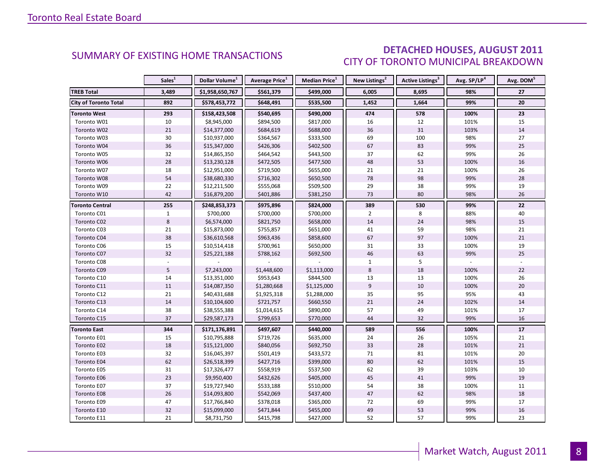### DETACHED HOUSES, AUGUST 2011 CITY OF TORONTO MUNICIPAL BREAKDOWN

|                              | Sales <sup>1</sup> | Dollar Volume <sup>1</sup> | <b>Average Price</b> <sup>1</sup> | <b>Median Price</b> <sup>1</sup> | New Listings <sup>2</sup> | <b>Active Listings<sup>3</sup></b> | Avg. SP/LP <sup>4</sup> | Avg. DOM <sup>3</sup> |
|------------------------------|--------------------|----------------------------|-----------------------------------|----------------------------------|---------------------------|------------------------------------|-------------------------|-----------------------|
| <b>TREB Total</b>            | 3,489              | \$1,958,650,767            | \$561,379                         | \$499,000                        | 6,005                     | 8,695                              | 98%                     | 27                    |
| <b>City of Toronto Total</b> | 892                | \$578,453,772              | \$648,491                         | \$535,500                        | 1,452                     | 1,664                              | 99%                     | 20                    |
| <b>Toronto West</b>          | 293                | \$158,423,508              | \$540,695                         | \$490,000                        | 474                       | 578                                | 100%                    | 23                    |
| Toronto W01                  | 10                 | \$8,945,000                | \$894,500                         | \$817,000                        | 16                        | 12                                 | 101%                    | 15                    |
| Toronto W02                  | $21\,$             | \$14,377,000               | \$684,619                         | \$688,000                        | 36                        | 31                                 | 103%                    | 14                    |
| Toronto W03                  | 30                 | \$10,937,000               | \$364,567                         | \$333,500                        | 69                        | 100                                | 98%                     | 27                    |
| Toronto W04                  | 36                 | \$15,347,000               | \$426,306                         | \$402,500                        | 67                        | 83                                 | 99%                     | 25                    |
| Toronto W05                  | 32                 | \$14,865,350               | \$464,542                         | \$443,500                        | 37                        | 62                                 | 99%                     | 26                    |
| Toronto W06                  | 28                 | \$13,230,128               | \$472,505                         | \$477,500                        | 48                        | 53                                 | 100%                    | 16                    |
| Toronto W07                  | 18                 | \$12,951,000               | \$719,500                         | \$655,000                        | 21                        | 21                                 | 100%                    | 26                    |
| Toronto W08                  | 54                 | \$38,680,330               | \$716,302                         | \$650,500                        | 78                        | 98                                 | 99%                     | 28                    |
| Toronto W09                  | 22                 | \$12,211,500               | \$555,068                         | \$509,500                        | 29                        | 38                                 | 99%                     | 19                    |
| Toronto W10                  | 42                 | \$16,879,200               | \$401,886                         | \$381,250                        | 73                        | 80                                 | 98%                     | 26                    |
| Toronto Central              | 255                | \$248,853,373              | \$975,896                         | \$824,000                        | 389                       | 530                                | 99%                     | 22                    |
| Toronto C01                  | $\mathbf{1}$       | \$700,000                  | \$700,000                         | \$700,000                        | $\overline{2}$            | 8                                  | 88%                     | 40                    |
| Toronto C02                  | 8                  | \$6,574,000                | \$821,750                         | \$658,000                        | 14                        | 24                                 | 98%                     | 15                    |
| Toronto C03                  | 21                 | \$15,873,000               | \$755,857                         | \$651,000                        | 41                        | 59                                 | 98%                     | 21                    |
| Toronto C04                  | 38                 | \$36,610,568               | \$963,436                         | \$858,600                        | 67                        | 97                                 | 100%                    | 21                    |
| Toronto C06                  | 15                 | \$10,514,418               | \$700,961                         | \$650,000                        | 31                        | 33                                 | 100%                    | 19                    |
| Toronto C07                  | 32                 | \$25,221,188               | \$788,162                         | \$692,500                        | 46                        | 63                                 | 99%                     | 25                    |
| Toronto C08                  |                    |                            |                                   |                                  | $\mathbf{1}$              | 5                                  |                         |                       |
| Toronto C09                  | 5                  | \$7,243,000                | \$1,448,600                       | \$1,113,000                      | 8                         | 18                                 | 100%                    | 22                    |
| Toronto C10                  | 14                 | \$13,351,000               | \$953,643                         | \$844,500                        | 13                        | 13                                 | 100%                    | 26                    |
| Toronto C11                  | 11                 | \$14,087,350               | \$1,280,668                       | \$1,125,000                      | 9                         | 10                                 | 100%                    | 20                    |
| Toronto C12                  | 21                 | \$40,431,688               | \$1,925,318                       | \$1,288,000                      | 35                        | 95                                 | 95%                     | 43                    |
| Toronto C13                  | 14                 | \$10,104,600               | \$721,757                         | \$660,550                        | 21                        | 24                                 | 102%                    | 14                    |
| Toronto C14                  | 38                 | \$38,555,388               | \$1,014,615                       | \$890,000                        | 57                        | 49                                 | 101%                    | 17                    |
| Toronto C15                  | 37                 | \$29,587,173               | \$799,653                         | \$770,000                        | 44                        | 32                                 | 99%                     | 16                    |
| <b>Toronto East</b>          | 344                | \$171,176,891              | \$497,607                         | \$440,000                        | 589                       | 556                                | 100%                    | 17                    |
| Toronto E01                  | 15                 | \$10,795,888               | \$719,726                         | \$635,000                        | 24                        | 26                                 | 105%                    | 21                    |
| Toronto E02                  | 18                 | \$15,121,000               | \$840,056                         | \$692,750                        | 33                        | 28                                 | 101%                    | 21                    |
| Toronto E03                  | 32                 | \$16,045,397               | \$501,419                         | \$433,572                        | 71                        | 81                                 | 101%                    | 20                    |
| Toronto E04                  | 62                 | \$26,518,399               | \$427,716                         | \$399,000                        | 80                        | 62                                 | 101%                    | 15                    |
| Toronto E05                  | 31                 | \$17,326,477               | \$558,919                         | \$537,500                        | 62                        | 39                                 | 103%                    | 10                    |
| Toronto E06                  | 23                 | \$9,950,400                | \$432,626                         | \$405,000                        | 45                        | 41                                 | 99%                     | 19                    |
| Toronto E07                  | 37                 | \$19,727,940               | \$533,188                         | \$510,000                        | 54                        | 38                                 | 100%                    | 11                    |
| Toronto E08                  | 26                 | \$14,093,800               | \$542,069                         | \$437,400                        | 47                        | 62                                 | 98%                     | 18                    |
| Toronto E09                  | 47                 | \$17,766,840               | \$378,018                         | \$365,000                        | 72                        | 69                                 | 99%                     | 17                    |
| Toronto E10                  | 32                 | \$15,099,000               | \$471,844                         | \$455,000                        | 49                        | 53                                 | 99%                     | 16                    |
| Toronto E11                  | 21                 | \$8,731,750                | \$415,798                         | \$427,000                        | 52                        | 57                                 | 99%                     | 23                    |

8

<span id="page-7-0"></span>**Page 3 July 2010**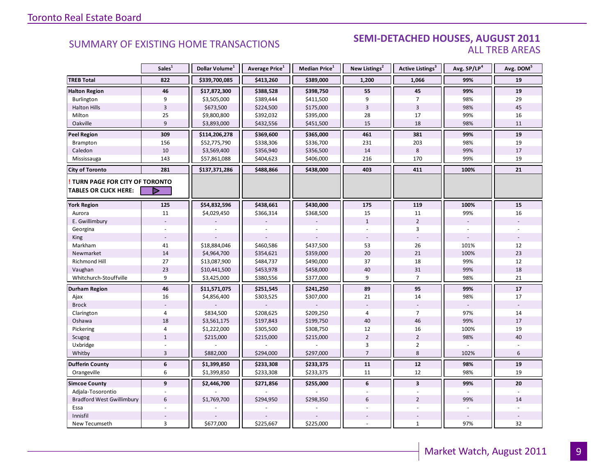### **Industrial Leasing SUMMARY OF EXISTING HOME TRANSACTIONS SEMI-DETACHED HOUSES, AUGUST 2011** ALL TREB AREAS

|                                                               | Sales <sup>1</sup> | Dollar Volume <sup>1</sup> | Average Price <sup>1</sup> | Median Price <sup>1</sup> | New Listings <sup>2</sup> | <b>Active Listings<sup>3</sup></b> | Avg. SP/LP <sup>4</sup> | Avg. DOM <sup>5</sup> |
|---------------------------------------------------------------|--------------------|----------------------------|----------------------------|---------------------------|---------------------------|------------------------------------|-------------------------|-----------------------|
| <b>TREB Total</b>                                             | 822                | \$339,700,085              | \$413,260                  | \$389,000                 | 1,200                     | 1,066                              | 99%                     | 19                    |
| <b>Halton Region</b>                                          | 46                 | \$17,872,300               | \$388,528                  | \$398,750                 | 55                        | 45                                 | 99%                     | 19                    |
| Burlington                                                    | 9                  | \$3,505,000                | \$389,444                  | \$411,500                 | 9                         | $\overline{7}$                     | 98%                     | 29                    |
| <b>Halton Hills</b>                                           | $\overline{3}$     | \$673,500                  | \$224,500                  | \$175,000                 | 3                         | 3                                  | 98%                     | 45                    |
| Milton                                                        | 25                 | \$9,800,800                | \$392,032                  | \$395,000                 | 28                        | 17                                 | 99%                     | 16                    |
| Oakville                                                      | 9                  | \$3,893,000                | \$432,556                  | \$451,500                 | 15                        | 18                                 | 98%                     | 11                    |
| <b>Peel Region</b>                                            | 309                | \$114,206,278              | \$369,600                  | \$365,000                 | 461                       | 381                                | 99%                     | 19                    |
| Brampton                                                      | 156                | \$52,775,790               | \$338,306                  | \$336,700                 | 231                       | 203                                | 98%                     | 19                    |
| Caledon                                                       | 10                 | \$3,569,400                | \$356,940                  | \$356,500                 | 14                        | $\bf 8$                            | 99%                     | 17                    |
| Mississauga                                                   | 143                | \$57,861,088               | \$404,623                  | \$406,000                 | 216                       | 170                                | 99%                     | 19                    |
| <b>City of Toronto</b>                                        | 281                | \$137,371,286              | \$488,866                  | \$438,000                 | 403                       | 411                                | 100%                    | 21                    |
| TURN PAGE FOR CITY OF TORONTO<br><b>TABLES OR CLICK HERE:</b> | D                  |                            |                            |                           |                           |                                    |                         |                       |
|                                                               |                    |                            |                            |                           |                           |                                    |                         |                       |
| <b>York Region</b>                                            | 125                | \$54,832,596               | \$438,661                  | \$430,000                 | 175                       | 119                                | 100%                    | ${\bf 15}$            |
| Aurora                                                        | 11                 | \$4,029,450                | \$366,314                  | \$368,500                 | 15                        | 11                                 | 99%                     | 16                    |
| E. Gwillimbury                                                |                    |                            |                            |                           | $\mathbf{1}$              | $\overline{2}$                     | $\overline{a}$          |                       |
| Georgina                                                      |                    |                            |                            |                           |                           | 3                                  |                         |                       |
| <b>King</b>                                                   |                    |                            |                            |                           |                           |                                    |                         |                       |
| Markham                                                       | 41                 | \$18,884,046               | \$460,586                  | \$437,500                 | 53                        | 26                                 | 101%                    | 12                    |
| Newmarket                                                     | 14                 | \$4,964,700                | \$354,621                  | \$359,000                 | 20                        | 21                                 | 100%                    | 23                    |
| Richmond Hill                                                 | 27                 | \$13,087,900               | \$484,737                  | \$490,000                 | 37                        | 18                                 | 99%                     | 12                    |
| Vaughan                                                       | 23                 | \$10,441,500               | \$453,978                  | \$458,000                 | 40                        | 31                                 | 99%                     | 18                    |
| Whitchurch-Stouffville                                        | 9                  | \$3,425,000                | \$380,556                  | \$377,000                 | 9                         | $\overline{7}$                     | 98%                     | 21                    |
| <b>Durham Region</b>                                          | 46                 | \$11,571,075               | \$251,545                  | \$241,250                 | 89                        | 95                                 | 99%                     | 17                    |
| Ajax                                                          | 16                 | \$4,856,400                | \$303,525                  | \$307,000                 | 21                        | 14                                 | 98%                     | 17                    |
| <b>Brock</b>                                                  |                    |                            |                            |                           |                           |                                    |                         |                       |
| Clarington                                                    | $\overline{4}$     | \$834,500                  | \$208,625                  | \$209,250                 | 4                         | $\overline{7}$                     | 97%                     | 14                    |
| Oshawa                                                        | 18                 | \$3,561,175                | \$197,843                  | \$199,750                 | 40                        | 46                                 | 99%                     | 17                    |
| Pickering                                                     | $\overline{4}$     | \$1,222,000                | \$305,500                  | \$308,750                 | 12                        | 16                                 | 100%                    | 19                    |
| Scugog                                                        | $\mathbf{1}$       | \$215,000                  | \$215,000                  | \$215,000                 | $\overline{2}$            | $\overline{2}$                     | 98%                     | 40                    |
| Uxbridge                                                      |                    |                            |                            |                           | 3                         | $\overline{2}$                     |                         |                       |
| Whitby                                                        | 3                  | \$882,000                  | \$294,000                  | \$297,000                 | $\overline{7}$            | 8                                  | 102%                    | 6                     |
| <b>Dufferin County</b>                                        | $\boldsymbol{6}$   | \$1,399,850                | \$233,308                  | \$233,375                 | 11                        | 12                                 | 98%                     | 19                    |
| Orangeville                                                   | 6                  | \$1,399,850                | \$233,308                  | \$233,375                 | 11                        | 12                                 | 98%                     | 19                    |
| <b>Simcoe County</b>                                          | $\mathbf{9}$       | \$2,446,700                | \$271,856                  | \$255,000                 | 6                         | $\overline{3}$                     | 99%                     | 20                    |
| Adjala-Tosorontio                                             |                    |                            |                            |                           |                           |                                    |                         |                       |
| <b>Bradford West Gwillimbury</b>                              | 6                  | \$1,769,700                | \$294,950                  | \$298,350                 | 6                         | $\overline{2}$                     | 99%                     | 14                    |
| Essa                                                          |                    |                            |                            |                           |                           |                                    |                         |                       |
| Innisfil                                                      |                    |                            |                            |                           |                           |                                    |                         |                       |
| New Tecumseth                                                 | 3                  | \$677,000                  | \$225,667                  | \$225,000                 |                           | $\mathbf{1}$                       | 97%                     | 32                    |

**Page 3 July 2010**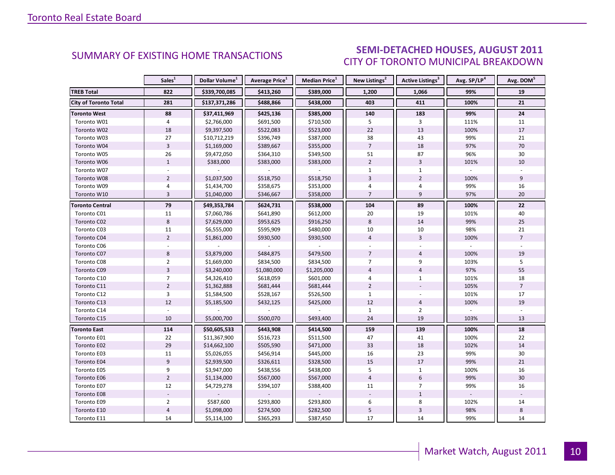### $\blacksquare$  ALIGUST 2011 CITY OF TORONTO MUNICIPAL BREAKDOWN SUMMARY OF EXISTING HOME TRANSACTIONS **SEMI-DETACHED HOUSES, AUGUST 2011**

<span id="page-9-0"></span>

|                              | Sales <sup>1</sup> | Dollar Volume <sup>1</sup> | Average Price <sup>1</sup> | Median Price <sup>1</sup> | New Listings <sup>2</sup> | Active Listings <sup>3</sup> | Avg. SP/LP <sup>4</sup> | Avg. DOM <sup>5</sup> |
|------------------------------|--------------------|----------------------------|----------------------------|---------------------------|---------------------------|------------------------------|-------------------------|-----------------------|
| <b>TREB Total</b>            | 822                | \$339,700,085              | \$413,260                  | \$389,000                 | 1,200                     | 1,066                        | 99%                     | 19                    |
| <b>City of Toronto Total</b> | 281                | \$137,371,286              | \$488,866                  | \$438,000                 | 403                       | 411                          | 100%                    | 21                    |
| <b>Toronto West</b>          | 88                 | \$37,411,969               | \$425,136                  | \$385,000                 | 140                       | 183                          | 99%                     | 24                    |
| Toronto W01                  | 4                  | \$2,766,000                | \$691,500                  | \$710,500                 | 5                         | 3                            | 111%                    | 11                    |
| Toronto W02                  | 18                 | \$9,397,500                | \$522,083                  | \$523,000                 | 22                        | 13                           | 100%                    | 17                    |
| Toronto W03                  | 27                 | \$10,712,219               | \$396,749                  | \$387,000                 | 38                        | 43                           | 99%                     | 21                    |
| Toronto W04                  | $\overline{3}$     | \$1,169,000                | \$389,667                  | \$355,000                 | $\overline{7}$            | 18                           | 97%                     | 70                    |
| Toronto W05                  | 26                 | \$9,472,050                | \$364,310                  | \$349,500                 | 51                        | 87                           | 96%                     | 30                    |
| Toronto W06                  | $1\,$              | \$383,000                  | \$383,000                  | \$383,000                 | $\overline{2}$            | 3                            | 101%                    | 10                    |
| Toronto W07                  |                    |                            |                            |                           | $\mathbf{1}$              | $\mathbf{1}$                 |                         |                       |
| Toronto W08                  | $\overline{2}$     | \$1,037,500                | \$518,750                  | \$518,750                 | $\overline{3}$            | $\overline{2}$               | 100%                    | 9                     |
| Toronto W09                  | $\overline{4}$     | \$1,434,700                | \$358,675                  | \$353,000                 | 4                         | 4                            | 99%                     | 16                    |
| Toronto W10                  | $\overline{3}$     | \$1,040,000                | \$346,667                  | \$358,000                 | $\overline{7}$            | 9                            | 97%                     | 20                    |
| <b>Toronto Central</b>       | 79                 | \$49,353,784               | \$624,731                  | \$538,000                 | 104                       | 89                           | 100%                    | 22                    |
| Toronto C01                  | 11                 | \$7,060,786                | \$641,890                  | \$612,000                 | 20                        | 19                           | 101%                    | 40                    |
| Toronto C02                  | 8                  | \$7,629,000                | \$953,625                  | \$916,250                 | 8                         | 14                           | 99%                     | 25                    |
| Toronto C03                  | $11\,$             | \$6,555,000                | \$595,909                  | \$480,000                 | $10\,$                    | $10\,$                       | 98%                     | 21                    |
| Toronto C04                  | $\overline{2}$     | \$1,861,000                | \$930,500                  | \$930,500                 | $\overline{4}$            | $\overline{3}$               | 100%                    | $\overline{7}$        |
| Toronto C06                  |                    |                            |                            |                           |                           |                              |                         |                       |
| Toronto C07                  | 8                  | \$3,879,000                | \$484,875                  | \$479,500                 | $\overline{7}$            | $\overline{4}$               | 100%                    | 19                    |
| Toronto C08                  | $\overline{2}$     | \$1,669,000                | \$834,500                  | \$834,500                 | $\overline{7}$            | 9                            | 103%                    | 5                     |
| Toronto C09                  | $\overline{3}$     | \$3,240,000                | \$1,080,000                | \$1,205,000               | $\overline{4}$            | $\overline{4}$               | 97%                     | 55                    |
| Toronto C10                  | $\overline{7}$     | \$4,326,410                | \$618,059                  | \$601,000                 | $\overline{4}$            | $\mathbf{1}$                 | 101%                    | 18                    |
| Toronto C11                  | $\overline{2}$     | \$1,362,888                | \$681,444                  | \$681,444                 | $\overline{2}$            |                              | 105%                    | $\overline{7}$        |
| Toronto C12                  | 3                  | \$1,584,500                | \$528,167                  | \$526,500                 | $\mathbf{1}$              |                              | 101%                    | 17                    |
| Toronto C13                  | 12                 | \$5,185,500                | \$432,125                  | \$425,000                 | 12                        | $\overline{4}$               | 100%                    | 19                    |
| Toronto C14                  |                    |                            |                            |                           | $\mathbf{1}$              | $\overline{2}$               |                         |                       |
| Toronto C15                  | 10                 | \$5,000,700                | \$500,070                  | \$493,400                 | 24                        | 19                           | 103%                    | 13                    |
| <b>Toronto East</b>          | 114                | \$50,605,533               | \$443,908                  | \$414,500                 | 159                       | 139                          | 100%                    | 18                    |
| Toronto E01                  | 22                 | \$11,367,900               | \$516,723                  | \$511,500                 | 47                        | 41                           | 100%                    | 22                    |
| Toronto E02                  | 29                 | \$14,662,100               | \$505,590                  | \$471,000                 | 33                        | 18                           | 102%                    | 14                    |
| Toronto E03                  | 11                 | \$5,026,055                | \$456,914                  | \$445,000                 | 16                        | 23                           | 99%                     | 30                    |
| <b>Toronto E04</b>           | $\overline{9}$     | \$2,939,500                | \$326,611                  | \$328,500                 | 15                        | 17                           | 99%                     | 21                    |
| Toronto E05                  | 9                  | \$3,947,000                | \$438,556                  | \$438,000                 | 5                         | $\mathbf{1}$                 | 100%                    | 16                    |
| Toronto E06                  | $\overline{2}$     | \$1,134,000                | \$567,000                  | \$567,000                 | $\overline{4}$            | 6                            | 99%                     | 30                    |
| Toronto E07                  | 12                 | \$4,729,278                | \$394,107                  | \$388,400                 | 11                        | $\overline{7}$               | 99%                     | 16                    |
| Toronto E08                  |                    |                            |                            |                           |                           | $\mathbf{1}$                 |                         |                       |
| Toronto E09                  | $\overline{2}$     | \$587,600                  | \$293,800                  | \$293,800                 | 6                         | 8                            | 102%                    | 14                    |
| Toronto E10                  | $\sqrt{4}$         | \$1,098,000                | \$274,500                  | \$282,500                 | 5                         | $\overline{\mathbf{3}}$      | 98%                     | 8                     |
| Toronto E11                  | 14                 | \$5,114,100                | \$365,293                  | \$387,450                 | 17                        | 14                           | 99%                     | 14                    |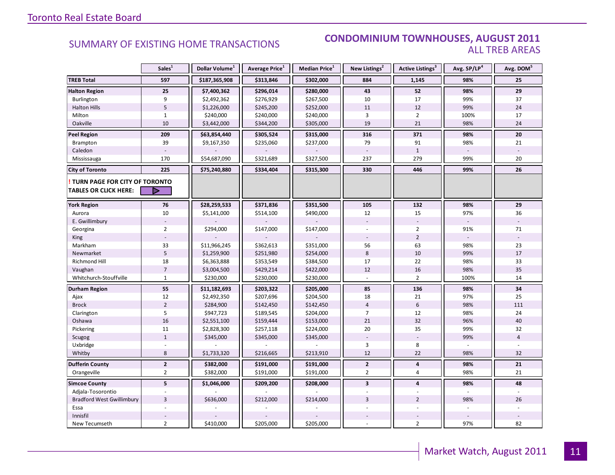### SUMMARY OF EXISTING HOME TRANSACTIONS **CONDOMINIUM TOWNHOUSES, AUGUST 2011** ALL TREB AREAS

|                                                                        | Sales <sup>1</sup> | Dollar Volume <sup>1</sup> | Average Price <sup>1</sup> | Median Price <sup>1</sup> | New Listings <sup>2</sup> | Active Listings <sup>3</sup> | Avg. SP/LP <sup>4</sup> | Avg. DOM <sup>5</sup> |
|------------------------------------------------------------------------|--------------------|----------------------------|----------------------------|---------------------------|---------------------------|------------------------------|-------------------------|-----------------------|
| <b>TREB Total</b>                                                      | 597                | \$187,365,908              | \$313,846                  | \$302,000                 | 884                       | 1,145                        | 98%                     | 25                    |
| <b>Halton Region</b>                                                   | 25                 | \$7,400,362                | \$296,014                  | \$280,000                 | 43                        | 52                           | 98%                     | 29                    |
| Burlington                                                             | 9                  | \$2,492,362                | \$276,929                  | \$267,500                 | 10                        | 17                           | 99%                     | 37                    |
| <b>Halton Hills</b>                                                    | 5                  | \$1,226,000                | \$245,200                  | \$252,000                 | 11                        | 12                           | 99%                     | 24                    |
| Milton                                                                 | $\mathbf{1}$       | \$240,000                  | \$240,000                  | \$240,000                 | 3                         | $\overline{2}$               | 100%                    | 17                    |
| Oakville                                                               | 10                 | \$3,442,000                | \$344,200                  | \$305,000                 | 19                        | 21                           | 98%                     | 24                    |
| <b>Peel Region</b>                                                     | 209                | \$63,854,440               | \$305,524                  | \$315,000                 | 316                       | 371                          | 98%                     | 20                    |
| <b>Brampton</b>                                                        | 39                 | \$9,167,350                | \$235,060                  | \$237,000                 | 79                        | 91                           | 98%                     | 21                    |
| Caledon                                                                |                    |                            |                            |                           |                           | $\mathbf{1}$                 |                         |                       |
| Mississauga                                                            | 170                | \$54,687,090               | \$321,689                  | \$327,500                 | 237                       | 279                          | 99%                     | 20                    |
| <b>City of Toronto</b>                                                 | 225                | \$75,240,880               | \$334,404                  | \$315,300                 | 330                       | 446                          | 99%                     | 26                    |
| <b>! TURN PAGE FOR CITY OF TORONTO</b><br><b>TABLES OR CLICK HERE:</b> | ▷                  |                            |                            |                           |                           |                              |                         |                       |
|                                                                        |                    |                            |                            |                           |                           |                              |                         |                       |
| <b>York Region</b>                                                     | 76                 | \$28,259,533               | \$371,836                  | \$351,500                 | 105                       | 132                          | 98%                     | 29                    |
| Aurora                                                                 | 10                 | \$5,141,000                | \$514,100                  | \$490,000                 | 12                        | 15                           | 97%                     | 36                    |
| E. Gwillimbury                                                         |                    |                            |                            |                           |                           |                              |                         |                       |
| Georgina                                                               | $\overline{2}$     | \$294,000                  | \$147,000                  | \$147,000                 |                           | $\overline{2}$               | 91%                     | 71                    |
| King                                                                   |                    |                            |                            |                           |                           | $\overline{2}$               |                         |                       |
| Markham                                                                | 33                 | \$11,966,245               | \$362,613                  | \$351,000                 | 56                        | 63                           | 98%                     | 23                    |
| Newmarket                                                              | 5                  | \$1,259,900                | \$251,980                  | \$254,000                 | 8                         | 10                           | 99%                     | 17                    |
| <b>Richmond Hill</b>                                                   | 18                 | \$6,363,888                | \$353,549                  | \$384,500                 | 17                        | 22                           | 98%                     | 33                    |
| Vaughan                                                                | $\overline{7}$     | \$3,004,500                | \$429,214                  | \$422,000                 | 12                        | 16                           | 98%                     | 35                    |
| Whitchurch-Stouffville                                                 | $\mathbf{1}$       | \$230,000                  | \$230,000                  | \$230,000                 |                           | $\overline{2}$               | 100%                    | 14                    |
| Durham Region                                                          | 55                 | \$11,182,693               | \$203,322                  | \$205,000                 | 85                        | 136                          | 98%                     | 34                    |
| Ajax                                                                   | 12                 | \$2,492,350                | \$207,696                  | \$204,500                 | 18                        | 21                           | 97%                     | 25                    |
| <b>Brock</b>                                                           | $\overline{2}$     | \$284,900                  | \$142,450                  | \$142,450                 | $\overline{4}$            | $6\,$                        | 98%                     | 111                   |
| Clarington                                                             | 5                  | \$947,723                  | \$189,545                  | \$204,000                 | $\overline{7}$            | 12                           | 98%                     | 24                    |
| Oshawa                                                                 | $16\,$             | \$2,551,100                | \$159,444                  | \$153,000                 | 21                        | 32                           | 96%                     | 40                    |
| Pickering                                                              | 11                 | \$2,828,300                | \$257,118                  | \$224,000                 | 20                        | 35                           | 99%                     | 32                    |
| Scugog                                                                 | $\mathbf{1}$       | \$345,000                  | \$345,000                  | \$345,000                 |                           |                              | 99%                     | $\overline{4}$        |
| Uxbridge                                                               |                    |                            |                            |                           | 3                         | 8                            |                         |                       |
| Whitby                                                                 | 8                  | \$1,733,320                | \$216,665                  | \$213,910                 | 12                        | 22                           | 98%                     | 32                    |
| <b>Dufferin County</b>                                                 | $\overline{2}$     | \$382,000                  | \$191,000                  | \$191,000                 | $\mathbf{2}$              | 4                            | 98%                     | 21                    |
| Orangeville                                                            | $\overline{2}$     | \$382,000                  | \$191,000                  | \$191,000                 | $\overline{2}$            | $\overline{4}$               | 98%                     | 21                    |
| <b>Simcoe County</b>                                                   | 5                  | \$1,046,000                | \$209,200                  | \$208,000                 | $\overline{\mathbf{3}}$   | $\overline{\mathbf{4}}$      | 98%                     | 48                    |
| Adjala-Tosorontio                                                      |                    |                            |                            |                           |                           |                              |                         |                       |
| <b>Bradford West Gwillimbury</b>                                       | $\overline{3}$     | \$636,000                  | \$212,000                  | \$214,000                 | $\overline{3}$            | $\overline{2}$               | 98%                     | 26                    |
| Essa                                                                   |                    |                            |                            |                           |                           |                              |                         |                       |
| Innisfil                                                               |                    |                            |                            |                           |                           |                              |                         |                       |
| New Tecumseth                                                          | $\overline{2}$     | \$410,000                  | \$205,000                  | \$205,000                 |                           | $\overline{2}$               | 97%                     | 82                    |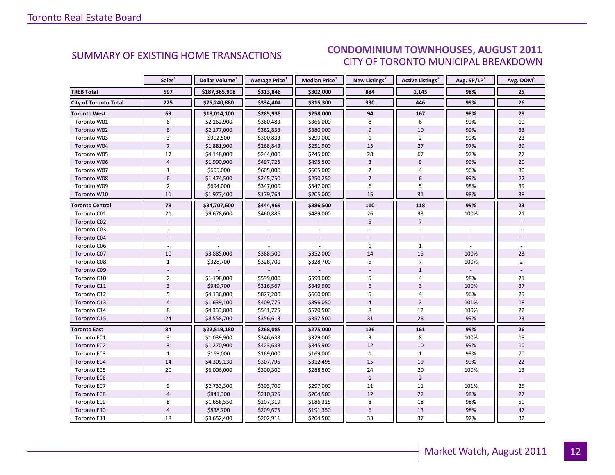### $\blacksquare$  AUGUST 2011 CITY OF TORONTO MUNICIPAL BREAKDOWN SUMMARY OF EXISTING HOME TRANSACTIONS **CONDOMINIUM TOWNHOUSES, AUGUST 2011**

<span id="page-11-0"></span>

|                              | Sales <sup>1</sup> | Dollar Volume <sup>1</sup> | <b>Average Price</b> <sup>1</sup> | Median Price <sup>1</sup> | New Listings <sup>2</sup> | Active Listings <sup>3</sup> | Avg. SP/LP <sup>4</sup> | Avg. DOM <sup>5</sup> |
|------------------------------|--------------------|----------------------------|-----------------------------------|---------------------------|---------------------------|------------------------------|-------------------------|-----------------------|
| <b>TREB Total</b>            | 597                | \$187,365,908              | \$313,846                         | \$302,000                 | 884                       | 1,145                        | 98%                     | 25                    |
| <b>City of Toronto Total</b> | 225                | \$75,240,880               | \$334,404                         | \$315,300                 | 330                       | 446                          | 99%                     | 26                    |
| <b>Toronto West</b>          | 63                 | \$18,014,100               | \$285,938                         | \$258,000                 | 94                        | 167                          | 98%                     | 29                    |
| Toronto W01                  | 6                  | \$2,162,900                | \$360,483                         | \$366,000                 | 8                         | 6                            | 99%                     | 19                    |
| Toronto W02                  | $6\,$              | \$2,177,000                | \$362,833                         | \$380,000                 | $\overline{9}$            | 10                           | 99%                     | 33                    |
| Toronto W03                  | 3                  | \$902,500                  | \$300,833                         | \$299,000                 | $\mathbf{1}$              | $\overline{2}$               | 99%                     | 23                    |
| Toronto W04                  | $\overline{7}$     | \$1,881,900                | \$268,843                         | \$251,900                 | 15                        | 27                           | 97%                     | 39                    |
| Toronto W05                  | 17                 | \$4,148,000                | \$244,000                         | \$245,000                 | 28                        | 67                           | 97%                     | 27                    |
| Toronto W06                  | $\overline{4}$     | \$1,990,900                | \$497,725                         | \$495,500                 | $\overline{3}$            | 9                            | 99%                     | 20                    |
| Toronto W07                  | $\mathbf{1}$       | \$605,000                  | \$605,000                         | \$605,000                 | $\overline{2}$            | 4                            | 96%                     | 30                    |
| Toronto W08                  | $6\,$              | \$1,474,500                | \$245,750                         | \$250,250                 | $\overline{7}$            | 6                            | 99%                     | 22                    |
| Toronto W09                  | $\overline{2}$     | \$694,000                  | \$347,000                         | \$347,000                 | 6                         | 5                            | 98%                     | 39                    |
| Toronto W10                  | 11                 | \$1,977,400                | \$179,764                         | \$205,000                 | 15                        | 31                           | 98%                     | 38                    |
| <b>Toronto Central</b>       | 78                 | \$34,707,600               | \$444,969                         | \$386,500                 | 110                       | 118                          | 99%                     | 23                    |
| Toronto C01                  | 21                 | \$9,678,600                | \$460,886                         | \$489,000                 | 26                        | 33                           | 100%                    | 21                    |
| Toronto C02                  |                    |                            |                                   |                           | 5                         | $\overline{7}$               |                         |                       |
| Toronto C03                  |                    |                            |                                   |                           |                           |                              |                         |                       |
| Toronto C04                  |                    |                            |                                   |                           |                           |                              |                         |                       |
| Toronto C06                  |                    |                            |                                   |                           | $\mathbf{1}$              | $\mathbf{1}$                 |                         |                       |
| Toronto C07                  | 10                 | \$3,885,000                | \$388,500                         | \$352,000                 | 14                        | 15                           | 100%                    | 23                    |
| Toronto C08                  | $\mathbf{1}$       | \$328,700                  | \$328,700                         | \$328,700                 | 5                         | $\overline{7}$               | 100%                    | $\overline{2}$        |
| Toronto C09                  |                    |                            |                                   |                           |                           | $\mathbf{1}$                 |                         |                       |
| Toronto C10                  | $\overline{2}$     | \$1,198,000                | \$599,000                         | \$599,000                 | 5                         | 4                            | 98%                     | 21                    |
| Toronto C11                  | $\overline{3}$     | \$949,700                  | \$316,567                         | \$349,900                 | 6                         | 3                            | 100%                    | 37                    |
| Toronto C12                  | 5                  | \$4,136,000                | \$827,200                         | \$660,000                 | 5                         | 4                            | 96%                     | 29                    |
| Toronto C13                  | $\overline{4}$     | \$1,639,100                | \$409,775                         | \$396,050                 | $\overline{4}$            | $\overline{3}$               | 101%                    | 18                    |
| Toronto C14                  | 8                  | \$4,333,800                | \$541,725                         | \$570,500                 | 8                         | 12                           | 100%                    | 22                    |
| Toronto C15                  | 24                 | \$8,558,700                | \$356,613                         | \$357,500                 | 31                        | 28                           | 99%                     | 23                    |
| <b>Toronto East</b>          | 84                 | \$22,519,180               | \$268,085                         | \$275,000                 | 126                       | 161                          | 99%                     | 26                    |
| Toronto E01                  | 3                  | \$1,039,900                | \$346,633                         | \$329,000                 | 3                         | 8                            | 100%                    | 18                    |
| Toronto E02                  | $\overline{3}$     | \$1,270,900                | \$423,633                         | \$345,900                 | 12                        | 10                           | 99%                     | 10                    |
| Toronto E03                  | $\mathbf{1}$       | \$169,000                  | \$169,000                         | \$169,000                 | $\mathbf{1}$              | $\mathbf{1}$                 | 99%                     | 70                    |
| Toronto E04                  | 14                 | \$4,309,130                | \$307,795                         | \$312,495                 | 15                        | 19                           | 99%                     | 22                    |
| Toronto E05                  | 20                 | \$6,006,000                | \$300,300                         | \$288,500                 | 24                        | 20                           | 100%                    | 13                    |
| Toronto E06                  |                    |                            |                                   |                           | $\mathbf{1}$              | $\overline{2}$               |                         |                       |
| Toronto E07                  | 9                  | \$2,733,300                | \$303,700                         | \$297,000                 | 11                        | 11                           | 101%                    | 25                    |
| Toronto E08                  | $\overline{4}$     | \$841,300                  | \$210,325                         | \$204,500                 | 12                        | 22                           | 98%                     | 27                    |
| Toronto E09                  | 8                  | \$1,658,550                | \$207,319                         | \$186,325                 | 8                         | 18                           | 98%                     | 50                    |
| Toronto E10                  | $\overline{4}$     | \$838,700                  | \$209,675                         | \$191,350                 | $\boldsymbol{6}$          | 13                           | 98%                     | 47                    |
| Toronto E11                  | 18                 | \$3,652,400                | \$202,911                         | \$204,500                 | 33                        | 37                           | 97%                     | 32                    |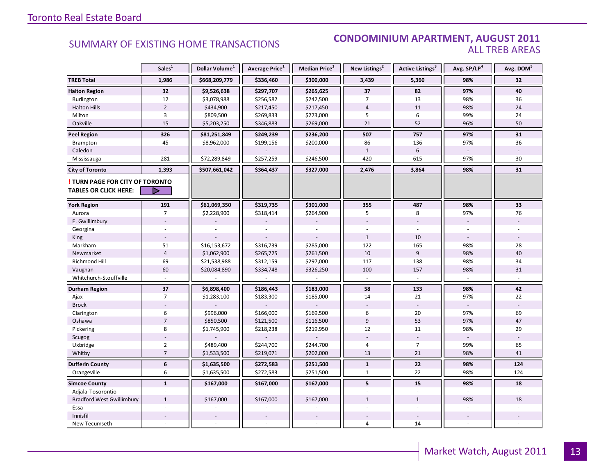### SUMMARY OF EXISTING HOME TRANSACTIONS **CONDOMINIUM APARTMENT, AUGUST 2011** ALL TREB AREAS

|                                                                        | Sales <sup>1</sup> | Dollar Volume <sup>1</sup> | Average Price <sup>1</sup> | Median Price <sup>1</sup> | New Listings <sup>2</sup> | <b>Active Listings</b> <sup>3</sup> | Avg. SP/LP <sup>4</sup> | Avg. DOM <sup>5</sup> |
|------------------------------------------------------------------------|--------------------|----------------------------|----------------------------|---------------------------|---------------------------|-------------------------------------|-------------------------|-----------------------|
| <b>TREB Total</b>                                                      | 1,986              | \$668,209,779              | \$336,460                  | \$300,000                 | 3,439                     | 5,360                               | 98%                     | 32                    |
| <b>Halton Region</b>                                                   | 32                 | \$9,526,638                | \$297,707                  | \$265,625                 | 37                        | 82                                  | 97%                     | 40                    |
| Burlington                                                             | 12                 | \$3,078,988                | \$256,582                  | \$242,500                 | $\overline{7}$            | 13                                  | 98%                     | 36                    |
| <b>Halton Hills</b>                                                    | $\overline{2}$     | \$434,900                  | \$217,450                  | \$217,450                 | $\overline{4}$            | 11                                  | 98%                     | 24                    |
| Milton                                                                 | $\overline{3}$     | \$809,500                  | \$269,833                  | \$273,000                 | 5                         | 6                                   | 99%                     | 24                    |
| Oakville                                                               | 15                 | \$5,203,250                | \$346,883                  | \$269,000                 | 21                        | 52                                  | 96%                     | 50                    |
| <b>Peel Region</b>                                                     | 326                | \$81,251,849               | \$249,239                  | \$236,200                 | 507                       | 757                                 | 97%                     | 31                    |
| <b>Brampton</b>                                                        | 45                 | \$8,962,000                | \$199,156                  | \$200,000                 | 86                        | 136                                 | 97%                     | 36                    |
| Caledon                                                                |                    |                            |                            |                           | $\mathbf{1}$              | $\,$ 6 $\,$                         |                         |                       |
| Mississauga                                                            | 281                | \$72,289,849               | \$257,259                  | \$246,500                 | 420                       | 615                                 | 97%                     | 30                    |
| <b>City of Toronto</b>                                                 | 1,393              | \$507,661,042              | \$364,437                  | \$327,000                 | 2,476                     | 3,864                               | 98%                     | 31                    |
| <b>! TURN PAGE FOR CITY OF TORONTO</b><br><b>TABLES OR CLICK HERE:</b> | ▷                  |                            |                            |                           |                           |                                     |                         |                       |
| <b>York Region</b>                                                     | 191                | \$61,069,350               | \$319,735                  | \$301,000                 | 355                       | 487                                 | 98%                     | 33                    |
| Aurora                                                                 | $\overline{7}$     | \$2,228,900                | \$318,414                  | \$264,900                 | 5                         | 8                                   | 97%                     | 76                    |
| E. Gwillimbury                                                         |                    |                            |                            |                           |                           |                                     |                         |                       |
| Georgina                                                               |                    |                            |                            |                           |                           |                                     |                         |                       |
| King                                                                   |                    |                            |                            |                           | $\mathbf{1}$              | 10                                  | $\sim$                  |                       |
| Markham                                                                | 51                 | \$16,153,672               | \$316,739                  | \$285,000                 | 122                       | 165                                 | 98%                     | 28                    |
| Newmarket                                                              | $\overline{4}$     | \$1,062,900                | \$265,725                  | \$261,500                 | 10                        | $\overline{9}$                      | 98%                     | 40                    |
| <b>Richmond Hill</b>                                                   | 69                 | \$21,538,988               | \$312,159                  | \$297,000                 | 117                       | 138                                 | 98%                     | 34                    |
| Vaughan                                                                | 60                 | \$20,084,890               | \$334,748                  | \$326,250                 | 100                       | 157                                 | 98%                     | 31                    |
| Whitchurch-Stouffville                                                 |                    |                            |                            |                           |                           |                                     |                         |                       |
| Durham Region                                                          | 37                 | \$6,898,400                | \$186,443                  | \$183,000                 | 58                        | 133                                 | 98%                     | 42                    |
| Ajax                                                                   | $\overline{7}$     | \$1,283,100                | \$183,300                  | \$185,000                 | 14                        | 21                                  | 97%                     | 22                    |
| <b>Brock</b>                                                           |                    |                            |                            |                           |                           |                                     |                         |                       |
| Clarington                                                             | $\boldsymbol{6}$   | \$996,000                  | \$166,000                  | \$169,500                 | 6                         | 20                                  | 97%                     | 69                    |
| Oshawa                                                                 | $\overline{7}$     | \$850,500                  | \$121,500                  | \$116,500                 | 9                         | 53                                  | 97%                     | 47                    |
| Pickering                                                              | 8                  | \$1,745,900                | \$218,238                  | \$219,950                 | 12                        | 11                                  | 98%                     | 29                    |
| Scugog                                                                 |                    |                            |                            |                           |                           |                                     |                         |                       |
| Uxbridge                                                               | $\overline{2}$     | \$489,400                  | \$244,700                  | \$244,700                 | $\overline{4}$            | $\overline{7}$                      | 99%                     | 65                    |
| Whitby                                                                 | $\overline{7}$     | \$1,533,500                | \$219,071                  | \$202,000                 | 13                        | 21                                  | 98%                     | 41                    |
| <b>Dufferin County</b>                                                 | $\bf 6$            | \$1,635,500                | \$272,583                  | \$251,500                 | $\mathbf{1}$              | ${\bf 22}$                          | 98%                     | 124                   |
| Orangeville                                                            | 6                  | \$1,635,500                | \$272,583                  | \$251,500                 | $\mathbf{1}$              | 22                                  | 98%                     | 124                   |
| <b>Simcoe County</b>                                                   | $\mathbf{1}$       | \$167,000                  | \$167,000                  | \$167,000                 | 5                         | 15                                  | 98%                     | 18                    |
| Adjala-Tosorontio                                                      |                    |                            |                            |                           |                           |                                     |                         |                       |
| <b>Bradford West Gwillimbury</b>                                       | $\mathbf{1}$       | \$167,000                  | \$167,000                  | \$167,000                 | $\mathbf{1}$              | $\mathbf{1}$                        | 98%                     | 18                    |
| Essa                                                                   |                    |                            |                            |                           |                           |                                     |                         |                       |
| Innisfil                                                               |                    |                            |                            |                           |                           |                                     |                         |                       |
| New Tecumseth                                                          |                    |                            |                            |                           | $\overline{4}$            | 14                                  |                         |                       |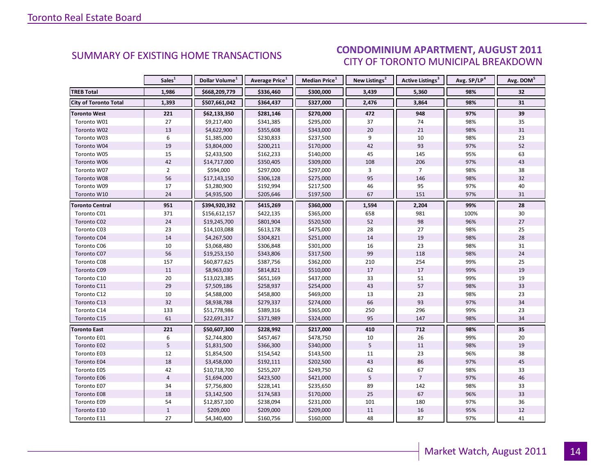### CONDOMINIUM APARTMENT, AUGUST 2011 CITY OF TORONTO MUNICIPAL BREAKDOWN

<span id="page-13-0"></span>

|                              | Sales <sup>1</sup> | Dollar Volume <sup>1</sup> | Average Price <sup>1</sup> | Median Price <sup>1</sup> | New Listings <sup>2</sup> | Active Listings <sup>3</sup> | Avg. SP/LP <sup>4</sup> | Avg. DOM <sup>5</sup> |
|------------------------------|--------------------|----------------------------|----------------------------|---------------------------|---------------------------|------------------------------|-------------------------|-----------------------|
| <b>TREB Total</b>            | 1,986              | \$668,209,779              | \$336,460                  | \$300,000                 | 3,439                     | 5,360                        | 98%                     | 32                    |
| <b>City of Toronto Total</b> | 1,393              | \$507,661,042              | \$364,437                  | \$327,000                 | 2,476                     | 3,864                        | 98%                     | 31                    |
| <b>Toronto West</b>          | 221                | \$62,133,350               | \$281,146                  | \$270,000                 | 472                       | 948                          | 97%                     | 39                    |
| Toronto W01                  | 27                 | \$9,217,400                | \$341,385                  | \$295,000                 | 37                        | 74                           | 98%                     | 35                    |
| Toronto W02                  | 13                 | \$4,622,900                | \$355,608                  | \$343,000                 | 20                        | 21                           | 98%                     | 31                    |
| Toronto W03                  | 6                  | \$1,385,000                | \$230,833                  | \$237,500                 | 9                         | 10                           | 98%                     | 23                    |
| Toronto W04                  | 19                 | \$3,804,000                | \$200,211                  | \$170,000                 | 42                        | 93                           | 97%                     | 52                    |
| Toronto W05                  | 15                 | \$2,433,500                | \$162,233                  | \$140,000                 | 45                        | 145                          | 95%                     | 63                    |
| Toronto W06                  | 42                 | \$14,717,000               | \$350,405                  | \$309,000                 | 108                       | 206                          | 97%                     | 43                    |
| Toronto W07                  | $\overline{2}$     | \$594,000                  | \$297,000                  | \$297,000                 | 3                         | $\overline{7}$               | 98%                     | 38                    |
| Toronto W08                  | 56                 | \$17,143,150               | \$306,128                  | \$275,000                 | 95                        | 146                          | 98%                     | 32                    |
| Toronto W09                  | 17                 | \$3,280,900                | \$192,994                  | \$217,500                 | 46                        | 95                           | 97%                     | 40                    |
| Toronto W10                  | 24                 | \$4,935,500                | \$205,646                  | \$197,500                 | 67                        | 151                          | 97%                     | 31                    |
| <b>Toronto Central</b>       | 951                | \$394,920,392              | \$415,269                  | \$360,000                 | 1,594                     | 2,204                        | 99%                     | 28                    |
| Toronto C01                  | 371                | \$156,612,157              | \$422,135                  | \$365,000                 | 658                       | 981                          | 100%                    | 30                    |
| Toronto C02                  | 24                 | \$19,245,700               | \$801,904                  | \$520,500                 | 52                        | 98                           | 96%                     | 27                    |
| Toronto C03                  | 23                 | \$14,103,088               | \$613,178                  | \$475,000                 | 28                        | 27                           | 98%                     | 25                    |
| Toronto C04                  | 14                 | \$4,267,500                | \$304,821                  | \$251,000                 | 14                        | 19                           | 98%                     | 28                    |
| Toronto C06                  | 10                 | \$3,068,480                | \$306,848                  | \$301,000                 | 16                        | 23                           | 98%                     | 31                    |
| Toronto C07                  | 56                 | \$19,253,150               | \$343,806                  | \$317,500                 | 99                        | 118                          | 98%                     | 24                    |
| Toronto C08                  | 157                | \$60,877,625               | \$387,756                  | \$362,000                 | 210                       | 254                          | 99%                     | 25                    |
| Toronto C09                  | 11                 | \$8,963,030                | \$814,821                  | \$510,000                 | 17                        | 17                           | 99%                     | 19                    |
| Toronto C10                  | 20                 | \$13,023,385               | \$651,169                  | \$437,000                 | 33                        | 51                           | 99%                     | 19                    |
| Toronto C11                  | 29                 | \$7,509,186                | \$258,937                  | \$254,000                 | 43                        | 57                           | 98%                     | 33                    |
| Toronto C12                  | $10\,$             | \$4,588,000                | \$458,800                  | \$469,000                 | 13                        | 23                           | 98%                     | 23                    |
| Toronto C13                  | 32                 | \$8,938,788                | \$279,337                  | \$274,000                 | 66                        | 93                           | 97%                     | $34$                  |
| Toronto C14                  | 133                | \$51,778,986               | \$389,316                  | \$365,000                 | 250                       | 296                          | 99%                     | 23                    |
| Toronto C15                  | 61                 | \$22,691,317               | \$371,989                  | \$324,000                 | 95                        | 147                          | 98%                     | 34                    |
| <b>Toronto East</b>          | 221                | \$50,607,300               | \$228,992                  | \$217,000                 | 410                       | 712                          | 98%                     | 35                    |
| Toronto E01                  | $\boldsymbol{6}$   | \$2,744,800                | \$457,467                  | \$478,750                 | 10                        | 26                           | 99%                     | 20                    |
| Toronto E02                  | 5                  | \$1,831,500                | \$366,300                  | \$340,000                 | $5\overline{5}$           | 11                           | 98%                     | 19                    |
| Toronto E03                  | 12                 | \$1,854,500                | \$154,542                  | \$143,500                 | 11                        | 23                           | 96%                     | 38                    |
| Toronto E04                  | 18                 | \$3,458,000                | \$192,111                  | \$202,500                 | 43                        | 86                           | 97%                     | 45                    |
| Toronto E05                  | 42                 | \$10,718,700               | \$255,207                  | \$249,750                 | 62                        | 67                           | 98%                     | 33                    |
| Toronto E06                  | $\overline{4}$     | \$1,694,000                | \$423,500                  | \$421,000                 | $5\overline{5}$           | $\overline{7}$               | 97%                     | 46                    |
| Toronto E07                  | 34                 | \$7,756,800                | \$228,141                  | \$235,650                 | 89                        | 142                          | 98%                     | 33                    |
| Toronto E08                  | 18                 | \$3,142,500                | \$174,583                  | \$170,000                 | 25                        | 67                           | 96%                     | 33                    |
| Toronto E09                  | 54                 | \$12,857,100               | \$238,094                  | \$231,000                 | 101                       | 180                          | 97%                     | 36                    |
| Toronto E10                  | $\,1\,$            | \$209,000                  | \$209,000                  | \$209,000                 | 11                        | 16                           | 95%                     | 12                    |
| Toronto E11                  | 27                 | \$4,340,400                | \$160,756                  | \$160,000                 | 48                        | 87                           | 97%                     | 41                    |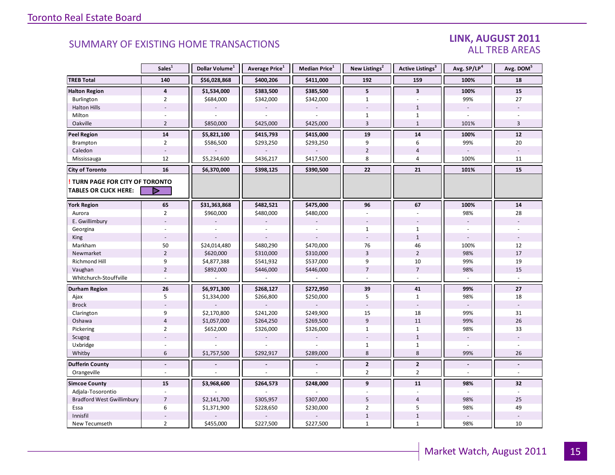### LINK, AUGUST 2011 ALL TREB AREAS

|                                  | Sales <sup>1</sup>       | Dollar Volume <sup>1</sup> | Average Price <sup>1</sup> | Median Price <sup>1</sup> | New Listings <sup>2</sup> | <b>Active Listings</b> <sup>3</sup> | Avg. SP/LP <sup>4</sup> | Avg. DOM <sup>5</sup>    |
|----------------------------------|--------------------------|----------------------------|----------------------------|---------------------------|---------------------------|-------------------------------------|-------------------------|--------------------------|
| <b>TREB Total</b>                | 140                      | \$56,028,868               | \$400,206                  | \$411,000                 | 192                       | 159                                 | 100%                    | 18                       |
| <b>Halton Region</b>             | 4                        | \$1,534,000                | \$383,500                  | \$385,500                 | 5                         | $\overline{\mathbf{3}}$             | 100%                    | 15                       |
| Burlington                       | $\overline{2}$           | \$684,000                  | \$342,000                  | \$342,000                 | $\mathbf{1}$              | u,                                  | 99%                     | 27                       |
| <b>Halton Hills</b>              |                          |                            |                            |                           |                           | $\mathbf{1}$                        | $\sim$                  |                          |
| Milton                           |                          |                            |                            |                           | 1                         | $\mathbf{1}$                        |                         |                          |
| Oakville                         | $\overline{2}$           | \$850,000                  | \$425,000                  | \$425,000                 | $\overline{3}$            | $\mathbf 1$                         | 101%                    | 3                        |
| <b>Peel Region</b>               | 14                       | \$5,821,100                | \$415,793                  | \$415,000                 | 19                        | 14                                  | 100%                    | 12                       |
| Brampton                         | $\overline{2}$           | \$586,500                  | \$293,250                  | \$293,250                 | 9                         | 6                                   | 99%                     | 20                       |
| Caledon                          |                          |                            |                            |                           | $\overline{2}$            | $\overline{4}$                      |                         |                          |
| Mississauga                      | 12                       | \$5,234,600                | \$436,217                  | \$417,500                 | 8                         | $\overline{4}$                      | 100%                    | 11                       |
| <b>City of Toronto</b>           | 16                       | \$6,370,000                | \$398,125                  | \$390,500                 | 22                        | 21                                  | 101%                    | 15                       |
| TURN PAGE FOR CITY OF TORONTO    |                          |                            |                            |                           |                           |                                     |                         |                          |
| <b>TABLES OR CLICK HERE:</b>     | ▷                        |                            |                            |                           |                           |                                     |                         |                          |
| <b>York Region</b>               | 65                       | \$31,363,868               | \$482,521                  | \$475,000                 | 96                        | 67                                  | 100%                    | ${\bf 14}$               |
| Aurora                           | $\overline{2}$           | \$960,000                  | \$480,000                  | \$480,000                 |                           |                                     | 98%                     | 28                       |
| E. Gwillimbury                   |                          |                            |                            |                           |                           |                                     | $\overline{a}$          |                          |
| Georgina                         |                          |                            |                            |                           | $\mathbf{1}$              | $\mathbf{1}$                        |                         |                          |
| King                             |                          |                            |                            |                           |                           | $\mathbf{1}$                        |                         |                          |
| Markham                          | 50                       | \$24,014,480               | \$480,290                  | \$470,000                 | 76                        | 46                                  | 100%                    | 12                       |
| Newmarket                        | $\overline{2}$           | \$620,000                  | \$310,000                  | \$310,000                 | $\overline{3}$            | $\overline{2}$                      | 98%                     | 17                       |
| Richmond Hill                    | 9                        | \$4,877,388                | \$541,932                  | \$537,000                 | 9                         | 10                                  | 99%                     | 19                       |
| Vaughan                          | $\overline{2}$           | \$892,000                  | \$446,000                  | \$446,000                 | $\overline{7}$            | $\overline{7}$                      | 98%                     | 15                       |
| Whitchurch-Stouffville           |                          |                            |                            |                           | $\overline{a}$            | ÷.                                  | $\sim$                  |                          |
| <b>Durham Region</b>             | 26                       | \$6,971,300                | \$268,127                  | \$272,950                 | 39                        | 41                                  | 99%                     | 27                       |
| Ajax                             | 5                        | \$1,334,000                | \$266,800                  | \$250,000                 | 5                         | $\mathbf{1}$                        | 98%                     | 18                       |
| <b>Brock</b>                     |                          |                            |                            |                           |                           | $\overline{\phantom{a}}$            | $\sim$                  |                          |
| Clarington                       | 9                        | \$2,170,800                | \$241,200                  | \$249,900                 | 15                        | 18                                  | 99%                     | 31                       |
| Oshawa                           | $\overline{4}$           | \$1,057,000                | \$264,250                  | \$269,500                 | $\overline{9}$            | 11                                  | 99%                     | 26                       |
| Pickering                        | $\overline{2}$           | \$652,000                  | \$326,000                  | \$326,000                 | $\mathbf{1}$              | $\mathbf{1}$                        | 98%                     | 33                       |
| Scugog                           |                          |                            |                            |                           |                           | $\mathbf{1}$                        |                         |                          |
| Uxbridge                         |                          |                            |                            |                           | $\mathbf{1}$              | $\mathbf{1}$                        |                         |                          |
| Whitby                           | 6                        | \$1,757,500                | \$292,917                  | \$289,000                 | 8                         | 8                                   | 99%                     | 26                       |
| <b>Dufferin County</b>           | $\overline{a}$           |                            |                            |                           | $\mathbf{2}$              | $\overline{2}$                      | $\blacksquare$          | $\blacksquare$           |
| Orangeville                      | $\overline{\phantom{a}}$ |                            |                            |                           | $\overline{2}$            | $\overline{2}$                      | $\sim$                  | $\overline{\phantom{a}}$ |
| <b>Simcoe County</b>             | 15                       | \$3,968,600                | \$264,573                  | \$248,000                 | 9                         | 11                                  | 98%                     | 32                       |
| Adjala-Tosorontio                |                          |                            |                            |                           |                           | ÷.                                  |                         |                          |
| <b>Bradford West Gwillimbury</b> | $\overline{7}$           | \$2,141,700                | \$305,957                  | \$307,000                 | 5                         | $\overline{4}$                      | 98%                     | 25                       |
| Essa                             | 6                        | \$1,371,900                | \$228,650                  | \$230,000                 | $\overline{2}$            | 5                                   | 98%                     | 49                       |
| Innisfil                         |                          |                            |                            |                           | $1\,$                     | $\mathbf{1}$                        |                         |                          |
| New Tecumseth                    | $\overline{2}$           | \$455,000                  | \$227,500                  | \$227,500                 | $\mathbf{1}$              | $\mathbf{1}$                        | 98%                     | 10                       |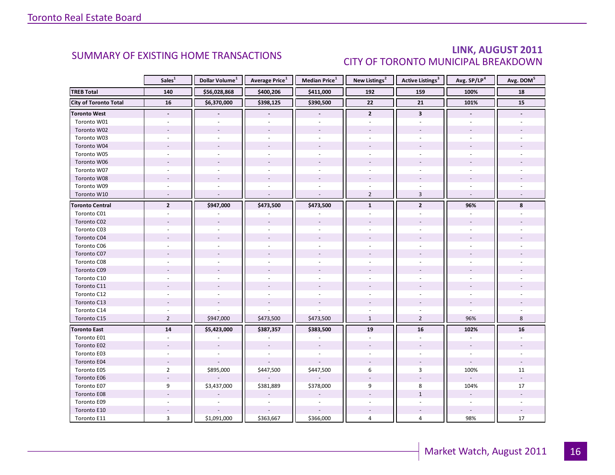### LINK, AUGUST 2011 CITY OF TORONTO MUNICIPAL BREAKDOWN

<span id="page-15-0"></span>

|                              | Sales <sup>1</sup>       | Dollar Volume <sup>1</sup> | <b>Average Price</b> <sup>1</sup> | Median Price <sup>1</sup> | New Listings <sup>2</sup> | <b>Active Listings<sup>3</sup></b> | Avg. SP/LP <sup>4</sup>  | Avg. DOM <sup>5</sup> |
|------------------------------|--------------------------|----------------------------|-----------------------------------|---------------------------|---------------------------|------------------------------------|--------------------------|-----------------------|
| <b>TREB Total</b>            | 140                      | \$56,028,868               | \$400,206                         | \$411,000                 | 192                       | 159                                | 100%                     | 18                    |
| <b>City of Toronto Total</b> | 16                       | \$6,370,000                | \$398,125                         | \$390,500                 | $\overline{22}$           | 21                                 | 101%                     | 15                    |
| <b>Toronto West</b>          | $\blacksquare$           |                            |                                   |                           | $\overline{2}$            | $\overline{\mathbf{3}}$            | $\overline{\phantom{a}}$ |                       |
| Toronto W01                  |                          |                            |                                   |                           |                           |                                    |                          |                       |
| Toronto W02                  |                          |                            |                                   |                           |                           |                                    |                          |                       |
| Toronto W03                  | ÷.                       |                            |                                   |                           |                           |                                    |                          |                       |
| Toronto W04                  |                          |                            |                                   |                           |                           |                                    |                          |                       |
| Toronto W05                  |                          |                            |                                   |                           |                           |                                    |                          |                       |
| Toronto W06                  |                          |                            | $\overline{\phantom{a}}$          |                           |                           |                                    |                          |                       |
| Toronto W07                  |                          |                            |                                   |                           |                           |                                    |                          |                       |
| Toronto W08                  |                          |                            |                                   |                           |                           |                                    |                          |                       |
| Toronto W09                  |                          |                            |                                   |                           |                           |                                    |                          |                       |
| Toronto W10                  | $\overline{\phantom{a}}$ | ÷.                         | $\overline{a}$                    | $\sim$                    | $\overline{2}$            | $\overline{3}$                     | $\sim$                   |                       |
| <b>Toronto Central</b>       | $\overline{2}$           | \$947,000                  | \$473,500                         | \$473,500                 | $\mathbf{1}$              | $\mathbf{2}$                       | 96%                      | 8                     |
| Toronto C01                  |                          |                            |                                   |                           |                           |                                    |                          |                       |
| Toronto C02                  |                          |                            |                                   |                           |                           |                                    |                          |                       |
| Toronto C03                  |                          |                            |                                   |                           |                           |                                    |                          |                       |
| Toronto C04                  |                          |                            |                                   |                           |                           |                                    |                          |                       |
| Toronto C06                  |                          |                            |                                   |                           |                           |                                    |                          |                       |
| Toronto C07                  |                          |                            |                                   |                           |                           |                                    |                          |                       |
| Toronto C08                  |                          |                            |                                   |                           |                           |                                    |                          |                       |
| Toronto C09                  |                          |                            |                                   |                           |                           |                                    |                          |                       |
| Toronto C10                  |                          |                            |                                   |                           |                           |                                    |                          |                       |
| Toronto C11                  |                          |                            |                                   |                           |                           |                                    |                          |                       |
| Toronto C12                  |                          |                            |                                   |                           |                           |                                    |                          |                       |
| Toronto C13                  |                          |                            |                                   |                           |                           |                                    |                          |                       |
| Toronto C14                  |                          |                            |                                   |                           |                           |                                    |                          |                       |
| Toronto C15                  | $\overline{2}$           | \$947,000                  | \$473,500                         | \$473,500                 | $\mathbf{1}$              | $\overline{2}$                     | 96%                      | 8                     |
| <b>Toronto East</b>          | 14                       | \$5,423,000                | \$387,357                         | \$383,500                 | 19                        | 16                                 | 102%                     | 16                    |
| Toronto E01                  | $\overline{a}$           |                            |                                   | ÷,                        |                           | $\overline{a}$                     | ÷.                       |                       |
| Toronto E02                  |                          |                            |                                   |                           |                           |                                    |                          |                       |
| Toronto E03                  |                          |                            |                                   |                           |                           |                                    |                          |                       |
| Toronto E04                  | $\overline{\phantom{a}}$ |                            |                                   |                           |                           |                                    | $\blacksquare$           |                       |
| Toronto E05                  | $\overline{2}$           | \$895,000                  | \$447,500                         | \$447,500                 | 6                         | 3                                  | 100%                     | 11                    |
| Toronto E06                  |                          |                            |                                   |                           |                           |                                    |                          |                       |
| Toronto E07                  | 9                        | \$3,437,000                | \$381,889                         | \$378,000                 | 9                         | 8                                  | 104%                     | 17                    |
| Toronto E08                  |                          |                            |                                   |                           |                           | $\mathbf{1}$                       | $\overline{\phantom{a}}$ |                       |
| Toronto E09                  |                          |                            |                                   | $\sim$                    |                           |                                    | $\omega$                 |                       |
| Toronto E10                  |                          |                            |                                   |                           |                           |                                    |                          |                       |
| Toronto E11                  | 3                        | \$1,091,000                | \$363,667                         | \$366,000                 | 4                         | 4                                  | 98%                      | 17                    |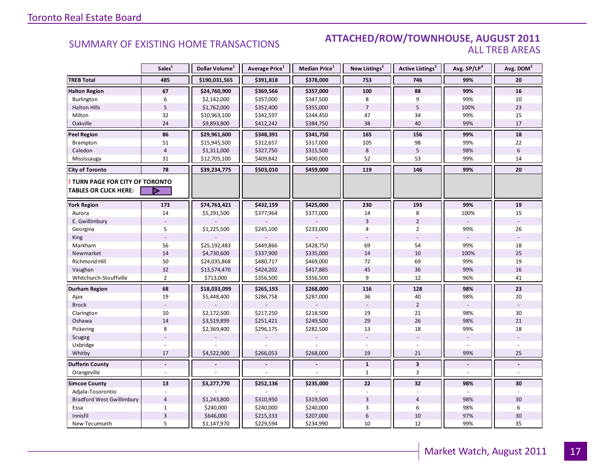### SUMMARY OF EXISTING HOME TRANSACTIONS **ATTACHED/ROW/TOWNHOUSE, AUGUST 2011** ALL TREB AREAS

|                                  | Sales <sup>1</sup>        | Dollar Volume <sup>1</sup> | Average Price <sup>1</sup> | <b>Median Price</b> <sup>1</sup> | New Listings <sup>2</sup> | <b>Active Listings</b> <sup>3</sup> | Avg. SP/LP4    | Avg. DOM <sup>5</sup> |
|----------------------------------|---------------------------|----------------------------|----------------------------|----------------------------------|---------------------------|-------------------------------------|----------------|-----------------------|
| <b>TREB Total</b>                | 485                       | \$190,031,565              | \$391,818                  | \$378,000                        | 753                       | 746                                 | 99%            | 20                    |
| <b>Halton Region</b>             | 67                        | \$24,760,900               | \$369,566                  | \$357,000                        | 100                       | 88                                  | 99%            | 16                    |
| Burlington                       | 6                         | \$2,142,000                | \$357,000                  | \$347,500                        | 8                         | 9                                   | 99%            | 10                    |
| <b>Halton Hills</b>              | $\mathsf S$               | \$1,762,000                | \$352,400                  | \$355,000                        | $\overline{7}$            | 5                                   | 100%           | 23                    |
| Milton                           | 32                        | \$10,963,100               | \$342,597                  | \$344,450                        | 47                        | 34                                  | 99%            | 15                    |
| Oakville                         | 24                        | \$9,893,800                | \$412,242                  | \$384,750                        | 38                        | 40                                  | 99%            | 17                    |
| <b>Peel Region</b>               | 86                        | \$29,961,600               | \$348,391                  | \$341,750                        | 165                       | 156                                 | 99%            | 18                    |
| <b>Brampton</b>                  | 51                        | \$15,945,500               | \$312,657                  | \$317,000                        | 105                       | 98                                  | 99%            | 22                    |
| Caledon                          | $\overline{4}$            | \$1,311,000                | \$327,750                  | \$315,500                        | 8                         | $5\phantom{.0}$                     | 98%            | $6\phantom{1}$        |
| Mississauga                      | 31                        | \$12,705,100               | \$409,842                  | \$400,000                        | 52                        | 53                                  | 99%            | 14                    |
| <b>City of Toronto</b>           | 78                        | \$39,234,775               | \$503,010                  | \$459,000                        | 119                       | 146                                 | 99%            | 20                    |
| TURN PAGE FOR CITY OF TORONTO    |                           |                            |                            |                                  |                           |                                     |                |                       |
| <b>TABLES OR CLICK HERE:</b>     | ▷                         |                            |                            |                                  |                           |                                     |                |                       |
| <b>York Region</b>               | 173                       | \$74,763,421               | \$432,159                  | \$425,000                        | 230                       | 193                                 | 99%            | 19                    |
| Aurora                           | 14                        | \$5,291,500                | \$377,964                  | \$377,000                        | 14                        | 8                                   | 100%           | 15                    |
| E. Gwillimbury                   |                           |                            |                            |                                  | $\overline{3}$            | $\overline{2}$                      |                |                       |
| Georgina                         | 5                         | \$1,225,500                | \$245,100                  | \$233,000                        | $\overline{4}$            | $\overline{2}$                      | 99%            | 26                    |
| King                             |                           |                            |                            |                                  |                           |                                     |                |                       |
| Markham                          | 56                        | \$25,192,483               | \$449,866                  | \$428,750                        | 69                        | 54                                  | 99%            | 18                    |
| Newmarket                        | 14                        | \$4,730,600                | \$337,900                  | \$335,000                        | 14                        | 10                                  | 100%           | 25                    |
| Richmond Hill                    | 50                        | \$24,035,868               | \$480,717                  | \$469,000                        | 72                        | 69                                  | 99%            | 19                    |
| Vaughan                          | 32                        | \$13,574,470               | \$424,202                  | \$417,885                        | 45                        | 36                                  | 99%            | 16                    |
| Whitchurch-Stouffville           | $\overline{2}$            | \$713,000                  | \$356,500                  | \$356,500                        | 9                         | 12                                  | 96%            | 41                    |
| <b>Durham Region</b>             | 68                        | \$18,033,099               | \$265,193                  | \$268,000                        | 116                       | 128                                 | 98%            | 23                    |
| Ajax                             | 19                        | \$5,448,400                | \$286,758                  | \$287,000                        | 36                        | 40                                  | 98%            | 20                    |
| <b>Brock</b>                     |                           |                            |                            |                                  |                           | $\overline{2}$                      |                |                       |
| Clarington                       | 10                        | \$2,172,500                | \$217,250                  | \$218,500                        | 19                        | 21                                  | 98%            | 30                    |
| Oshawa                           | 14                        | \$3,519,899                | \$251,421                  | \$249,500                        | 29                        | 26                                  | 98%            | 21                    |
| Pickering                        | 8                         | \$2,369,400                | \$296,175                  | \$282,500                        | 13                        | 18                                  | 99%            | 18                    |
| Scugog                           |                           |                            |                            |                                  |                           |                                     |                |                       |
| Uxbridge                         | ÷.                        |                            |                            |                                  |                           | ÷.                                  |                |                       |
| Whitby                           | 17                        | \$4,522,900                | \$266,053                  | \$268,000                        | 19                        | 21                                  | 99%            | 25                    |
| <b>Dufferin County</b>           | $\sim$                    |                            |                            |                                  | $\mathbf{1}$              | $\mathbf{3}$                        | $\blacksquare$ | $\blacksquare$        |
| Orangeville                      |                           |                            |                            |                                  | $\mathbf{1}$              | $\overline{3}$                      |                |                       |
| <b>Simcoe County</b>             | 13                        | \$3,277,770                | \$252,136                  | \$235,000                        | 22                        | 32                                  | 98%            | 30                    |
| Adjala-Tosorontio                |                           |                            |                            |                                  |                           |                                     |                |                       |
| <b>Bradford West Gwillimbury</b> | $\overline{4}$            | \$1,243,800                | \$310,950                  | \$319,500                        | $\overline{3}$            | $\overline{4}$                      | 98%            | 30                    |
| Essa                             | $\mathbf{1}$              | \$240,000                  | \$240,000                  | \$240,000                        | 3                         | 6                                   | 98%            | 6                     |
| Innisfil                         | $\ensuremath{\mathsf{3}}$ | \$646,000                  | \$215,333                  | \$207,000                        | 6                         | 10                                  | 97%            | 30                    |
| New Tecumseth                    | 5                         | \$1,147,970                | \$229,594                  | \$234,990                        | 10                        | 12                                  | 99%            | 35                    |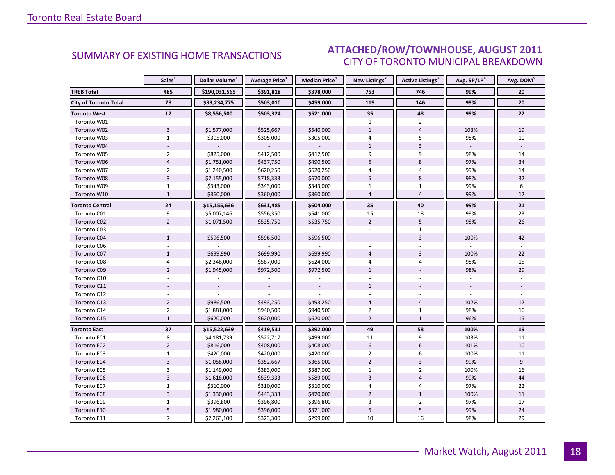### $\blacksquare$  ALIGUST 2011 CITY OF TORONTO MUNICIPAL BREAKDOWN SUMMARY OF EXISTING HOME TRANSACTIONS **ATTACHED/ROW/TOWNHOUSE, AUGUST 2011**

<span id="page-17-0"></span>

|                              | Sales <sup>1</sup> | Dollar Volume <sup>1</sup> | <b>Average Price</b> <sup>1</sup> | Median Price <sup>1</sup> | New Listings <sup>2</sup> | <b>Active Listings<sup>3</sup></b> | Avg. SP/LP <sup>4</sup> | Avg. DOM <sup>5</sup> |
|------------------------------|--------------------|----------------------------|-----------------------------------|---------------------------|---------------------------|------------------------------------|-------------------------|-----------------------|
| <b>TREB Total</b>            | 485                | \$190,031,565              | \$391,818                         | \$378,000                 | 753                       | 746                                | 99%                     | 20                    |
| <b>City of Toronto Total</b> | 78                 | \$39,234,775               | \$503,010                         | \$459,000                 | 119                       | 146                                | 99%                     | 20                    |
| <b>Toronto West</b>          | 17                 | \$8,556,500                | \$503,324                         | \$521,000                 | 35                        | 48                                 | 99%                     | 22                    |
| Toronto W01                  |                    |                            |                                   |                           | $\mathbf{1}$              | $\overline{2}$                     |                         |                       |
| Toronto W02                  | $\overline{3}$     | \$1,577,000                | \$525,667                         | \$540,000                 | $\mathbf{1}$              | $\overline{4}$                     | 103%                    | 19                    |
| Toronto W03                  | $\mathbf{1}$       | \$305,000                  | \$305,000                         | \$305,000                 | 4                         | 5                                  | 98%                     | 10                    |
| Toronto W04                  |                    |                            |                                   |                           | $\mathbf{1}$              | 3                                  |                         |                       |
| Toronto W05                  | $\overline{2}$     | \$825,000                  | \$412,500                         | \$412,500                 | 9                         | 9                                  | 98%                     | 14                    |
| Toronto W06                  | $\overline{4}$     | \$1,751,000                | \$437,750                         | \$490,500                 | 5                         | 8                                  | 97%                     | 34                    |
| Toronto W07                  | $\overline{2}$     | \$1,240,500                | \$620,250                         | \$620,250                 | $\overline{4}$            | 4                                  | 99%                     | 14                    |
| Toronto W08                  | $\overline{3}$     | \$2,155,000                | \$718,333                         | \$670,000                 | 5                         | $\,8\,$                            | 98%                     | 32                    |
| Toronto W09                  | $\mathbf{1}$       | \$343,000                  | \$343,000                         | \$343,000                 | $\mathbf{1}$              | $\mathbf{1}$                       | 99%                     | 6                     |
| Toronto W10                  | $\mathbf{1}$       | \$360,000                  | \$360,000                         | \$360,000                 | $\overline{4}$            | $\overline{4}$                     | 99%                     | 12                    |
| <b>Toronto Central</b>       | 24                 | \$15,155,636               | \$631,485                         | \$604,000                 | 35                        | 40                                 | 99%                     | 21                    |
| Toronto C01                  | 9                  | \$5,007,146                | \$556,350                         | \$541,000                 | 15                        | 18                                 | 99%                     | 23                    |
| Toronto C02                  | $\overline{2}$     | \$1,071,500                | \$535,750                         | \$535,750                 | $\overline{2}$            | 5                                  | 98%                     | 26                    |
| Toronto C03                  |                    |                            |                                   |                           |                           | $\mathbf{1}$                       |                         |                       |
| Toronto C04                  | $\mathbf{1}$       | \$596,500                  | \$596,500                         | \$596,500                 |                           | $\overline{3}$                     | 100%                    | 42                    |
| Toronto C06                  |                    |                            |                                   |                           |                           |                                    |                         |                       |
| Toronto C07                  | $\mathbf{1}$       | \$699,990                  | \$699,990                         | \$699,990                 | $\overline{4}$            | $\overline{3}$                     | 100%                    | 22                    |
| Toronto C08                  | $\overline{4}$     | \$2,348,000                | \$587,000                         | \$624,000                 | $\overline{4}$            | 4                                  | 98%                     | 15                    |
| Toronto C09                  | $\overline{2}$     | \$1,945,000                | \$972,500                         | \$972,500                 | $\mathbf{1}$              |                                    | 98%                     | 29                    |
| Toronto C10                  |                    |                            |                                   |                           |                           |                                    |                         |                       |
| Toronto C11                  |                    |                            |                                   |                           | $\mathbf{1}$              |                                    |                         |                       |
| Toronto C12                  |                    |                            |                                   |                           |                           |                                    |                         |                       |
| Toronto C13                  | $\overline{2}$     | \$986,500                  | \$493,250                         | \$493,250                 | $\overline{4}$            | $\overline{4}$                     | 102%                    | 12                    |
| Toronto C14                  | $\overline{2}$     | \$1,881,000                | \$940,500                         | \$940,500                 | $\overline{2}$            | $\mathbf 1$                        | 98%                     | 16                    |
| Toronto C15                  | $\mathbf{1}$       | \$620,000                  | \$620,000                         | \$620,000                 | $\overline{2}$            | $\mathbf{1}$                       | 96%                     | 15                    |
| <b>Toronto East</b>          | 37                 | \$15,522,639               | \$419,531                         | \$392,000                 | 49                        | 58                                 | 100%                    | 19                    |
| Toronto E01                  | 8                  | \$4,181,739                | \$522,717                         | \$499,000                 | 11                        | 9                                  | 103%                    | 11                    |
| Toronto E02                  | $\overline{2}$     | \$816,000                  | \$408,000                         | \$408,000                 | $6\overline{6}$           | 6                                  | 101%                    | 10                    |
| Toronto E03                  | $\mathbf{1}$       | \$420,000                  | \$420,000                         | \$420,000                 | $\overline{2}$            | 6                                  | 100%                    | 11                    |
| Toronto E04                  | $\overline{3}$     | \$1,058,000                | \$352,667                         | \$365,000                 | $\overline{2}$            | $\overline{3}$                     | 99%                     | 9                     |
| Toronto E05                  | 3                  | \$1,149,000                | \$383,000                         | \$387,000                 | $\mathbf{1}$              | $\overline{2}$                     | 100%                    | 16                    |
| Toronto E06                  | $\overline{3}$     | \$1,618,000                | \$539,333                         | \$589,000                 | $\overline{3}$            | $\overline{4}$                     | 99%                     | 44                    |
| Toronto E07                  | $\mathbf{1}$       | \$310,000                  | \$310,000                         | \$310,000                 | 4                         | 4                                  | 97%                     | 22                    |
| Toronto E08                  | $\overline{3}$     | \$1,330,000                | \$443,333                         | \$470,000                 | $\overline{2}$            | $\mathbf{1}$                       | 100%                    | 11                    |
| Toronto E09                  | $\mathbf{1}$       | \$396,800                  | \$396,800                         | \$396,800                 | 3                         | $\overline{2}$                     | 97%                     | 17                    |
| Toronto E10                  | 5                  | \$1,980,000                | \$396,000                         | \$371,000                 | 5                         | 5                                  | 99%                     | 24                    |
| Toronto E11                  | $\overline{7}$     | \$2,263,100                | \$323,300                         | \$299,000                 | 10                        | 16                                 | 98%                     | 29                    |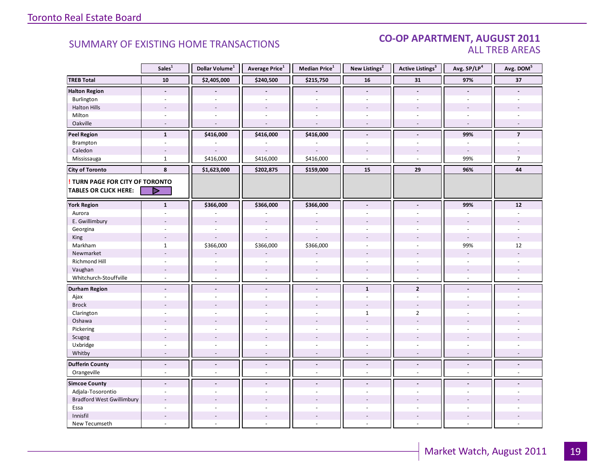### CO-OP APARTMENT, AUGUST 2011 ALL TREB AREAS

|                                  | Sales <sup>1</sup>       | Dollar Volume <sup>1</sup> | Average Price <sup>1</sup> | Median Price <sup>1</sup> | New Listings <sup>2</sup> | Active Listings <sup>3</sup> | Avg. SP/LP <sup>4</sup>  | Avg. DOM <sup>5</sup> |
|----------------------------------|--------------------------|----------------------------|----------------------------|---------------------------|---------------------------|------------------------------|--------------------------|-----------------------|
| <b>TREB Total</b>                | 10                       | \$2,405,000                | \$240,500                  | \$215,750                 | 16                        | 31                           | 97%                      | 37                    |
| <b>Halton Region</b>             | $\blacksquare$           |                            |                            | $\overline{a}$            | $\blacksquare$            | $\overline{a}$               | $\blacksquare$           |                       |
| Burlington                       | ÷                        |                            |                            | L.                        | $\sim$                    | $\overline{a}$               | $\sim$                   |                       |
| <b>Halton Hills</b>              |                          |                            |                            |                           |                           | ä,                           |                          |                       |
| Milton                           | ÷,                       | $\sim$                     |                            | ÷,                        | $\overline{\phantom{a}}$  | ä,                           | $\sim$                   |                       |
| Oakville                         | $\overline{a}$           | $\overline{a}$             | $\overline{a}$             | $\overline{a}$            | $\sim$                    | $\sim$                       | $\sim$                   |                       |
| <b>Peel Region</b>               | $\mathbf{1}$             | \$416,000                  | \$416,000                  | \$416,000                 | $\blacksquare$            | $\blacksquare$               | 99%                      | $\overline{7}$        |
| Brampton                         | $\omega$                 |                            |                            |                           | $\omega$                  | $\sim$                       | $\sim$                   |                       |
| Caledon                          | $\overline{\phantom{a}}$ |                            |                            |                           |                           | ÷,                           | $\sim$                   |                       |
| Mississauga                      | $\mathbf{1}$             | \$416,000                  | \$416,000                  | \$416,000                 | $\sim$                    | $\overline{a}$               | 99%                      | $\overline{7}$        |
| <b>City of Toronto</b>           | 8                        | \$1,623,000                | \$202,875                  | \$159,000                 | 15                        | 29                           | 96%                      | 44                    |
| ! TURN PAGE FOR CITY OF TORONTO  |                          |                            |                            |                           |                           |                              |                          |                       |
| <b>TABLES OR CLICK HERE:</b>     | ▷                        |                            |                            |                           |                           |                              |                          |                       |
| <b>York Region</b>               | $\mathbf{1}$             | \$366,000                  | \$366,000                  | \$366,000                 | $\blacksquare$            | $\blacksquare$               | 99%                      | ${\bf 12}$            |
| Aurora                           |                          |                            |                            |                           |                           |                              |                          |                       |
| E. Gwillimbury                   |                          | $\sim$                     |                            |                           |                           |                              |                          |                       |
| Georgina                         |                          |                            |                            | $\ddot{\phantom{1}}$      |                           |                              |                          |                       |
| King                             | ٠                        | $\overline{a}$             |                            |                           |                           |                              | $\overline{a}$           |                       |
| Markham                          | $\mathbf{1}$             | \$366,000                  | \$366,000                  | \$366,000                 | $\overline{\phantom{a}}$  | ÷.                           | 99%                      | 12                    |
| Newmarket                        |                          |                            |                            |                           |                           |                              | $\overline{a}$           |                       |
| Richmond Hill                    |                          |                            |                            |                           |                           |                              |                          |                       |
| Vaughan                          |                          |                            |                            |                           |                           |                              |                          |                       |
| Whitchurch-Stouffville           | $\omega$                 | ÷.                         | $\omega$                   | $\sim$                    | $\omega$                  | $\overline{a}$               | $\sim$                   |                       |
| <b>Durham Region</b>             | $\overline{\phantom{a}}$ | $\blacksquare$             | $\overline{\phantom{a}}$   | $\overline{\phantom{a}}$  | $\mathbf{1}$              | $\overline{2}$               | $\blacksquare$           |                       |
| Ajax                             | ÷                        |                            |                            | $\overline{a}$            | $\omega$                  | $\omega$                     | $\overline{a}$           |                       |
| <b>Brock</b>                     |                          |                            |                            |                           |                           | $\sim$                       |                          |                       |
| Clarington                       |                          |                            |                            |                           | 1                         | $\overline{2}$               |                          |                       |
| Oshawa                           |                          |                            |                            |                           |                           |                              |                          |                       |
| Pickering                        | L.                       |                            |                            | L.                        | $\overline{a}$            | ÷.                           | ÷.                       |                       |
| Scugog                           |                          |                            |                            |                           |                           |                              |                          |                       |
| Uxbridge                         | ÷                        | $\sim$                     | $\sim$                     | ÷,                        | $\sim$                    | $\sim$                       | $\sim$                   |                       |
| Whitby                           | $\sim$                   | $\sim$                     | $\sim$                     | ÷,                        | $\overline{\phantom{a}}$  | $\blacksquare$               | $\overline{\phantom{a}}$ |                       |
| <b>Dufferin County</b>           | $\blacksquare$           | $\overline{\phantom{a}}$   | $\blacksquare$             | $\overline{a}$            | $\blacksquare$            | $\overline{a}$               | $\blacksquare$           | $\blacksquare$        |
| Orangeville                      | $\overline{\phantom{a}}$ | $\sim$                     | $\omega$                   | ÷,                        | $\sim$                    | $\omega$                     | $\omega$                 | $\sim$                |
| <b>Simcoe County</b>             | $\overline{a}$           |                            |                            | $\overline{a}$            |                           |                              |                          |                       |
| Adjala-Tosorontio                | $\sim$                   | ÷.                         | ÷.                         | $\overline{a}$            | $\sim$                    | ÷                            | $\sim$                   |                       |
| <b>Bradford West Gwillimbury</b> |                          |                            |                            |                           |                           |                              |                          |                       |
| Essa                             | ÷                        |                            |                            | $\overline{a}$            |                           | ÷.                           |                          |                       |
| Innisfil                         | $\overline{a}$           | $\sim$                     | $\overline{\phantom{a}}$   | $\overline{a}$            |                           | $\sim$                       |                          |                       |
| New Tecumseth                    | ÷.                       | ä,                         |                            | ä,                        | $\overline{a}$            | ÷.                           | $\sim$                   |                       |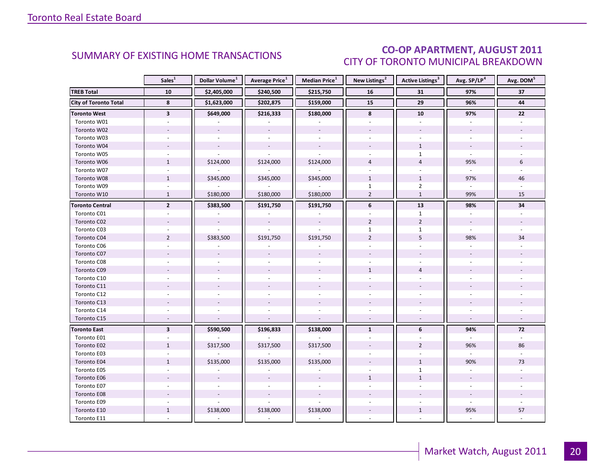### CO-OP APARTMENT, AUGUST 2011 CITY OF TORONTO MUNICIPAL BREAKDOWN

<span id="page-19-0"></span>

|                              | Sales <sup>1</sup>       | Dollar Volume <sup>1</sup> | Average Price <sup>1</sup> | Median Price <sup>1</sup> | New Listings <sup>2</sup> | Active Listings <sup>3</sup> | Avg. SP/LP <sup>4</sup>  | Avg. DOM <sup>5</sup> |
|------------------------------|--------------------------|----------------------------|----------------------------|---------------------------|---------------------------|------------------------------|--------------------------|-----------------------|
| <b>TREB Total</b>            | ${\bf 10}$               | \$2,405,000                | \$240,500                  | \$215,750                 | ${\bf 16}$                | 31                           | 97%                      | 37                    |
| <b>City of Toronto Total</b> | 8                        | \$1,623,000                | \$202,875                  | \$159,000                 | 15                        | 29                           | 96%                      | 44                    |
| <b>Toronto West</b>          | $\overline{\mathbf{3}}$  | \$649,000                  | \$216,333                  | \$180,000                 | 8                         | 10                           | 97%                      | 22                    |
| Toronto W01                  |                          |                            |                            |                           |                           |                              |                          |                       |
| Toronto W02                  |                          | $\omega$                   | $\blacksquare$             | $\bar{\phantom{a}}$       |                           |                              |                          |                       |
| Toronto W03                  | $\sim$                   |                            |                            | $\omega$                  | ÷                         | ÷.                           | ÷.                       |                       |
| Toronto W04                  |                          |                            |                            |                           |                           | $\mathbf{1}$                 |                          |                       |
| Toronto W05                  |                          |                            |                            |                           |                           | $\mathbf{1}$                 |                          |                       |
| Toronto W06                  | $\mathbf{1}$             | \$124,000                  | \$124,000                  | \$124,000                 | $\overline{4}$            | $\overline{4}$               | 95%                      | 6                     |
| Toronto W07                  | $\overline{\phantom{a}}$ |                            |                            |                           | $\overline{a}$            | $\overline{a}$               |                          |                       |
| Toronto W08                  | $\mathbf{1}$             | \$345,000                  | \$345,000                  | \$345,000                 | $\mathbf{1}$              | $\mathbf{1}$                 | 97%                      | 46                    |
| Toronto W09                  |                          |                            |                            |                           | $\mathbf{1}$              | $\overline{2}$               |                          |                       |
| Toronto W10                  | $\mathbf{1}$             | \$180,000                  | \$180,000                  | \$180,000                 | $\overline{2}$            | $\mathbf{1}$                 | 99%                      | 15                    |
| <b>Toronto Central</b>       | $\mathbf{2}$             | \$383,500                  | \$191,750                  | \$191,750                 | 6                         | 13                           | 98%                      | 34                    |
| Toronto C01                  |                          |                            |                            |                           |                           | $\mathbf{1}$                 |                          |                       |
| Toronto C02                  |                          | $\overline{\phantom{a}}$   | $\overline{\phantom{a}}$   | $\overline{\phantom{a}}$  | $\overline{2}$            | $\overline{2}$               | $\overline{\phantom{a}}$ |                       |
| Toronto C03                  |                          |                            |                            |                           | $\mathbf{1}$              | $\mathbf{1}$                 |                          |                       |
| Toronto C04                  | $\overline{2}$           | \$383,500                  | \$191,750                  | \$191,750                 | $\overline{2}$            | 5                            | 98%                      | 34                    |
| Toronto C06                  |                          |                            |                            |                           |                           |                              |                          |                       |
| Toronto C07                  |                          |                            |                            |                           |                           |                              |                          |                       |
| Toronto C08                  |                          |                            |                            |                           |                           |                              |                          |                       |
| Toronto C09                  |                          |                            |                            |                           | $\mathbf{1}$              | $\overline{4}$               |                          |                       |
| Toronto C10                  |                          |                            |                            |                           |                           |                              |                          |                       |
| Toronto C11                  |                          |                            |                            |                           |                           |                              |                          |                       |
| Toronto C12                  |                          |                            |                            | $\bar{a}$                 |                           |                              |                          |                       |
| Toronto C13                  |                          |                            |                            |                           |                           |                              |                          |                       |
| Toronto C14                  |                          |                            |                            |                           |                           |                              |                          |                       |
| Toronto C15                  | $\sim$                   |                            |                            |                           | $\overline{a}$            |                              | $\overline{\phantom{a}}$ |                       |
| <b>Toronto East</b>          | $\overline{\mathbf{3}}$  | \$590,500                  | \$196,833                  | \$138,000                 | $\mathbf{1}$              | 6                            | 94%                      | 72                    |
| Toronto E01                  |                          |                            |                            |                           |                           |                              | ÷.                       |                       |
| Toronto E02                  | $\mathbf{1}$             | \$317,500                  | \$317,500                  | \$317,500                 |                           | $\overline{2}$               | 96%                      | 86                    |
| Toronto E03                  |                          |                            |                            |                           |                           |                              |                          |                       |
| Toronto E04                  | $\mathbf{1}$             | \$135,000                  | \$135,000                  | \$135,000                 |                           | $\mathbf{1}$                 | 90%                      | 73                    |
| Toronto E05                  |                          |                            |                            |                           |                           | $\mathbf{1}$                 |                          |                       |
| Toronto E06                  |                          |                            |                            |                           | $\mathbf{1}$              | $\mathbf{1}$                 |                          |                       |
| Toronto E07                  |                          |                            |                            |                           |                           |                              |                          |                       |
| Toronto E08                  |                          |                            |                            |                           |                           |                              |                          |                       |
| Toronto E09                  |                          |                            |                            |                           |                           |                              |                          |                       |
| Toronto E10                  | $\mathbf{1}$             | \$138,000                  | \$138,000                  | \$138,000                 |                           | $\mathbf{1}$                 | 95%                      | 57                    |
| Toronto E11                  |                          |                            |                            |                           |                           |                              |                          |                       |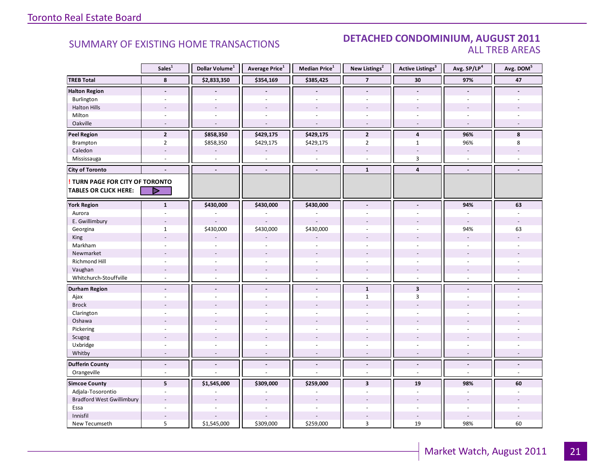### SUMMARY OF EXISTING HOME TRANSACTIONS **DETACHED CONDOMINIUM, AUGUST 2011** ALL TREB AREAS

|                                        | Sales <sup>1</sup>       | Dollar Volume <sup>1</sup> | Average Price <sup>1</sup> | Median Price <sup>1</sup> | New Listings <sup>2</sup> | Active Listings <sup>3</sup> | Avg. SP/LP <sup>4</sup>  | Avg. DOM <sup>5</sup> |
|----------------------------------------|--------------------------|----------------------------|----------------------------|---------------------------|---------------------------|------------------------------|--------------------------|-----------------------|
| <b>TREB Total</b>                      | 8                        | \$2,833,350                | \$354,169                  | \$385,425                 | $\overline{\phantom{a}}$  | 30                           | 97%                      | 47                    |
| <b>Halton Region</b>                   | $\blacksquare$           |                            |                            |                           | $\overline{\phantom{a}}$  | $\blacksquare$               |                          |                       |
| Burlington                             | ä,                       | $\overline{a}$             | ÷,                         | L.                        | $\overline{a}$            | ÷.                           | $\sim$                   |                       |
| <b>Halton Hills</b>                    |                          |                            |                            |                           |                           |                              |                          |                       |
| Milton                                 | $\sim$                   | ÷.                         |                            | $\overline{\phantom{a}}$  | ÷.                        | ÷                            | $\sim$                   |                       |
| Oakville                               | $\sim$                   | $\sim$                     |                            | L.                        | $\sim$                    | $\sim$                       | $\sim$                   |                       |
| <b>Peel Region</b>                     | $\overline{2}$           | \$858,350                  | \$429,175                  | \$429,175                 | $\mathbf{2}$              | 4                            | 96%                      | 8                     |
| Brampton                               | $\overline{2}$           | \$858,350                  | \$429,175                  | \$429,175                 | $\overline{2}$            | $\mathbf{1}$                 | 96%                      | 8                     |
| Caledon                                | $\sim$                   |                            |                            |                           | $\sim$                    | $\overline{\phantom{a}}$     | $\overline{\phantom{a}}$ |                       |
| Mississauga                            | $\sim$                   | $\sim$                     |                            | ÷,                        |                           | $\overline{3}$               | $\omega$                 |                       |
| <b>City of Toronto</b>                 | $\overline{a}$           | $\blacksquare$             | $\blacksquare$             | $\overline{a}$            | $\mathbf{1}$              | $\overline{4}$               | $\overline{a}$           |                       |
| <b>! TURN PAGE FOR CITY OF TORONTO</b> |                          |                            |                            |                           |                           |                              |                          |                       |
| <b>TABLES OR CLICK HERE:</b>           | D                        |                            |                            |                           |                           |                              |                          |                       |
| <b>York Region</b>                     | $\mathbf{1}$             | \$430,000                  | \$430,000                  | \$430,000                 | $\blacksquare$            | $\blacksquare$               | 94%                      | 63                    |
| Aurora                                 |                          |                            |                            |                           |                           |                              | ÷.                       |                       |
| E. Gwillimbury                         |                          |                            |                            |                           |                           |                              | $\sim$                   |                       |
| Georgina                               | $\mathbf 1$              | \$430,000                  | \$430,000                  | \$430,000                 |                           |                              | 94%                      | 63                    |
| King                                   |                          |                            |                            |                           |                           |                              | $\sim$                   |                       |
| Markham                                | ÷,                       | $\sim$                     | $\bar{a}$                  | ä,                        | $\overline{\phantom{a}}$  | ä,                           | $\sim$                   |                       |
| Newmarket                              |                          |                            |                            |                           |                           |                              |                          |                       |
| Richmond Hill                          |                          |                            |                            |                           |                           |                              |                          |                       |
| Vaughan                                |                          | $\overline{\phantom{a}}$   | $\overline{\phantom{a}}$   |                           |                           |                              |                          |                       |
| Whitchurch-Stouffville                 | $\omega$                 | $\omega$                   | $\omega$                   | $\sim$                    | $\sim$                    | $\overline{a}$               | $\sim$                   |                       |
| <b>Durham Region</b>                   | $\blacksquare$           | $\blacksquare$             | $\blacksquare$             | $\blacksquare$            | $\mathbf{1}$              | $\overline{\mathbf{3}}$      | $\blacksquare$           |                       |
| Ajax                                   | ÷                        | $\overline{a}$             |                            | ä,                        | $\mathbf{1}$              | 3                            | $\sim$                   |                       |
| <b>Brock</b>                           |                          |                            |                            |                           |                           |                              |                          |                       |
| Clarington                             |                          |                            |                            | ä,                        | ÷.                        |                              |                          |                       |
| Oshawa                                 |                          |                            |                            |                           |                           |                              |                          |                       |
| Pickering                              | ä,                       | $\overline{a}$             |                            | $\overline{a}$            | $\overline{a}$            | ÷.                           | $\overline{a}$           |                       |
| Scugog                                 |                          |                            |                            |                           |                           |                              |                          |                       |
| Uxbridge                               | ÷.                       | $\sim$                     | $\sim$                     | $\overline{\phantom{a}}$  | ÷.                        | $\sim$                       | $\sim$                   |                       |
| Whitby                                 | $\overline{a}$           | $\overline{a}$             | $\overline{a}$             | $\overline{a}$            | $\sim$                    | $\sim$                       | $\sim$                   | $\sim$                |
| <b>Dufferin County</b>                 | $\blacksquare$           | $\blacksquare$             | $\blacksquare$             | $\overline{a}$            | $\sim$                    | $\blacksquare$               | $\blacksquare$           | $\blacksquare$        |
| Orangeville                            | $\overline{\phantom{a}}$ |                            | ÷.                         | ä,                        | $\overline{\phantom{a}}$  | $\blacksquare$               | $\sim$                   | $\sim$                |
| <b>Simcoe County</b>                   | $5\overline{5}$          | \$1,545,000                | \$309,000                  | \$259,000                 | $\overline{\mathbf{3}}$   | ${\bf 19}$                   | 98%                      | 60                    |
| Adjala-Tosorontio                      | $\sim$                   |                            |                            | ÷,                        | $\sim$                    | $\blacksquare$               | $\sim$                   | $\sim$                |
| <b>Bradford West Gwillimbury</b>       |                          |                            |                            |                           |                           |                              |                          |                       |
| Essa                                   |                          |                            |                            |                           |                           |                              |                          |                       |
| Innisfil                               |                          |                            |                            |                           |                           | $\overline{\phantom{a}}$     |                          |                       |
| New Tecumseth                          | 5                        | \$1,545,000                | \$309,000                  | \$259,000                 | 3                         | 19                           | 98%                      | 60                    |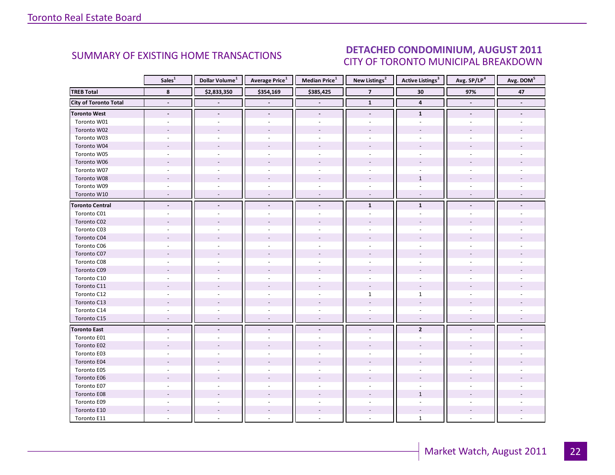### DETACHED CONDOMINIUM, AUGUST 2011 CITY OF TORONTO MUNICIPAL BREAKDOWN

<span id="page-21-0"></span>

|                              | Sales <sup>1</sup>       | Dollar Volume <sup>1</sup> | <b>Average Price</b> <sup>1</sup> | <b>Median Price</b> <sup>1</sup> | New Listings <sup>2</sup> | <b>Active Listings</b> <sup>3</sup> | Avg. SP/LP <sup>4</sup>  | Avg. DOM <sup>5</sup>    |
|------------------------------|--------------------------|----------------------------|-----------------------------------|----------------------------------|---------------------------|-------------------------------------|--------------------------|--------------------------|
| <b>TREB Total</b>            | 8                        | \$2,833,350                | \$354,169                         | \$385,425                        | $\overline{7}$            | 30                                  | 97%                      | 47                       |
| <b>City of Toronto Total</b> | $\blacksquare$           |                            |                                   | $\overline{\phantom{a}}$         | $\overline{1}$            | $\overline{\mathbf{4}}$             | $\blacksquare$           | $\overline{\phantom{a}}$ |
| <b>Toronto West</b>          | $\overline{\phantom{a}}$ | $\overline{\phantom{a}}$   | $\overline{\phantom{a}}$          | $\overline{\phantom{a}}$         | $\overline{\phantom{a}}$  | $\mathbf{1}$                        | $\overline{\phantom{a}}$ |                          |
| Toronto W01                  | $\sim$                   |                            |                                   | $\sim$                           |                           | ÷.                                  |                          |                          |
| Toronto W02                  |                          |                            |                                   |                                  |                           |                                     |                          |                          |
| Toronto W03                  | $\sim$                   |                            | $\overline{\phantom{a}}$          | $\sim$                           | $\sim$                    | $\omega$                            |                          |                          |
| Toronto W04                  |                          |                            |                                   |                                  |                           |                                     |                          |                          |
| Toronto W05                  | $\sim$                   |                            |                                   | $\sim$                           |                           |                                     |                          |                          |
| Toronto W06                  |                          |                            |                                   |                                  |                           |                                     |                          |                          |
| Toronto W07                  |                          |                            |                                   | $\sim$                           |                           | ä,                                  |                          |                          |
| Toronto W08                  |                          |                            |                                   |                                  |                           | $\mathbf{1}$                        |                          |                          |
| Toronto W09                  | $\sim$                   |                            |                                   | $\sim$                           | ÷.                        | $\sim$                              |                          |                          |
| Toronto W10                  | $\sim$                   |                            | $\overline{\phantom{a}}$          | $\sim$                           | $\omega$                  | $\omega$                            |                          |                          |
| <b>Toronto Central</b>       | $\blacksquare$           |                            | $\blacksquare$                    | $\overline{\phantom{a}}$         | $\mathbf{1}$              | $\mathbf{1}$                        |                          |                          |
| Toronto C01                  |                          |                            |                                   |                                  |                           |                                     |                          |                          |
| Toronto C02                  |                          |                            |                                   |                                  |                           |                                     |                          |                          |
| Toronto C03                  | ÷.                       |                            | ÷.                                | $\sim$                           |                           | ä,                                  |                          |                          |
| Toronto C04                  |                          |                            |                                   |                                  |                           |                                     |                          |                          |
| Toronto C06                  |                          |                            |                                   |                                  |                           |                                     |                          |                          |
| Toronto C07                  |                          |                            |                                   |                                  |                           |                                     |                          |                          |
| Toronto C08                  |                          |                            |                                   | ÷.                               |                           |                                     |                          |                          |
| Toronto C09                  |                          |                            |                                   |                                  |                           |                                     |                          |                          |
| Toronto C10                  |                          |                            |                                   |                                  |                           |                                     |                          |                          |
| Toronto C11                  |                          |                            |                                   |                                  |                           |                                     |                          |                          |
| Toronto C12                  |                          |                            |                                   | $\sim$                           | $\mathbf{1}$              | $\mathbf{1}$                        |                          |                          |
| Toronto C13                  |                          |                            |                                   |                                  |                           |                                     |                          |                          |
| Toronto C14                  |                          |                            |                                   |                                  |                           |                                     |                          |                          |
| Toronto C15                  | $\overline{\phantom{a}}$ | $\overline{\phantom{a}}$   | $\blacksquare$                    | $\overline{\phantom{a}}$         | $\overline{\phantom{a}}$  | $\overline{\phantom{a}}$            | $\overline{\phantom{a}}$ |                          |
| <b>Toronto East</b>          | $\overline{\phantom{a}}$ |                            |                                   | $\overline{\phantom{a}}$         |                           | $\overline{2}$                      |                          |                          |
| Toronto E01                  |                          |                            |                                   |                                  |                           |                                     |                          |                          |
| Toronto E02                  |                          |                            |                                   |                                  |                           |                                     |                          |                          |
| Toronto E03                  |                          |                            |                                   |                                  |                           |                                     |                          |                          |
| Toronto E04                  |                          |                            |                                   |                                  |                           |                                     |                          |                          |
| Toronto E05                  |                          |                            |                                   |                                  |                           |                                     |                          |                          |
| Toronto E06                  |                          |                            |                                   |                                  |                           |                                     |                          |                          |
| Toronto E07                  |                          |                            |                                   | $\sim$                           |                           |                                     |                          |                          |
| Toronto E08                  |                          |                            |                                   |                                  |                           | $\mathbf{1}$                        |                          |                          |
| Toronto E09                  |                          |                            |                                   |                                  |                           |                                     |                          |                          |
| Toronto E10                  |                          |                            |                                   |                                  |                           |                                     |                          |                          |
| Toronto E11                  |                          |                            |                                   |                                  |                           | $\mathbf{1}$                        |                          |                          |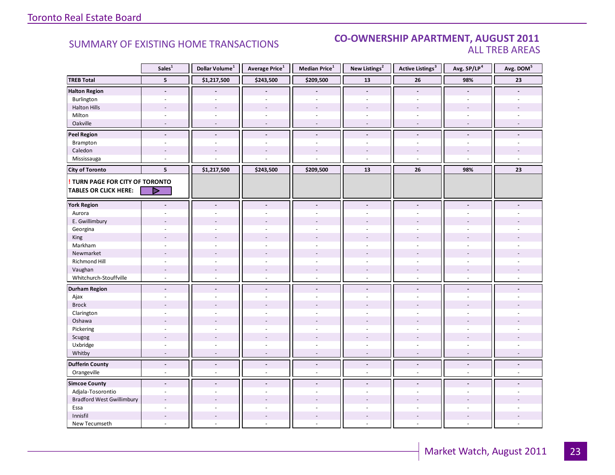### **Industrial Leasing CO-OWNERSHIP APARTMENT, AUGUST 2011**<br>ALL TREB AREAS ALL TREB AREAS

|                                                                        | Sales <sup>1</sup>       | Dollar Volume <sup>1</sup> | Average Price <sup>1</sup> | Median Price <sup>1</sup> | New Listings <sup>2</sup> | <b>Active Listings<sup>3</sup></b> | Avg. SP/LP <sup>4</sup>  | Avg. DOM <sup>5</sup> |
|------------------------------------------------------------------------|--------------------------|----------------------------|----------------------------|---------------------------|---------------------------|------------------------------------|--------------------------|-----------------------|
| <b>TREB Total</b>                                                      | 5                        | \$1,217,500                | \$243,500                  | \$209,500                 | 13                        | ${\bf 26}$                         | 98%                      | 23                    |
| <b>Halton Region</b>                                                   | $\overline{\phantom{a}}$ |                            |                            |                           | $\overline{\phantom{a}}$  | $\overline{\phantom{a}}$           |                          |                       |
| Burlington                                                             | $\omega$                 | $\sim$                     | $\sim$                     | ÷,                        | $\omega$                  | $\overline{\phantom{a}}$           | $\sim$                   |                       |
| <b>Halton Hills</b>                                                    |                          |                            |                            |                           |                           |                                    |                          |                       |
| Milton                                                                 | $\sim$                   | $\sim$                     | ÷.                         | ÷,                        | $\sim$                    | $\sim$                             | $\sim$                   |                       |
| Oakville                                                               | $\sim$                   | $\sim$                     | $\overline{\phantom{a}}$   | ÷,                        | $\sim$                    | $\blacksquare$                     | $\sim$                   |                       |
| <b>Peel Region</b>                                                     | $\blacksquare$           | $\blacksquare$             | $\blacksquare$             | $\overline{\phantom{a}}$  | $\blacksquare$            | $\overline{a}$                     | $\blacksquare$           |                       |
| Brampton                                                               | $\overline{\phantom{a}}$ | ÷.                         | $\sim$                     | $\overline{\phantom{a}}$  | $\sim$                    | $\overline{\phantom{a}}$           | $\sim$                   |                       |
| Caledon                                                                | $\overline{\phantom{a}}$ | $\overline{\phantom{a}}$   | $\overline{\phantom{a}}$   | $\overline{\phantom{a}}$  |                           | $\overline{a}$                     | $\overline{\phantom{a}}$ |                       |
| Mississauga                                                            | $\sim$                   |                            |                            |                           | ÷.                        | $\overline{\phantom{a}}$           | $\sim$                   | $\sim$                |
| <b>City of Toronto</b>                                                 | 5                        | \$1,217,500                | \$243,500                  | \$209,500                 | 13                        | 26                                 | 98%                      | 23                    |
| <b>! TURN PAGE FOR CITY OF TORONTO</b><br><b>TABLES OR CLICK HERE:</b> | ▷                        |                            |                            |                           |                           |                                    |                          |                       |
|                                                                        |                          |                            |                            |                           |                           |                                    |                          |                       |
| <b>York Region</b>                                                     |                          | $\overline{\phantom{a}}$   |                            | $\overline{\phantom{a}}$  | $\overline{a}$            |                                    |                          |                       |
| Aurora                                                                 |                          |                            |                            |                           |                           |                                    |                          |                       |
| E. Gwillimbury                                                         |                          |                            |                            |                           |                           |                                    |                          |                       |
| Georgina                                                               |                          |                            |                            |                           |                           |                                    |                          |                       |
| King                                                                   |                          |                            |                            |                           |                           |                                    |                          |                       |
| Markham                                                                | ٠                        | ÷.                         | ÷.                         | ä,                        | $\sim$                    | $\sim$                             | $\overline{a}$           |                       |
| Newmarket                                                              | ÷                        | ÷                          |                            |                           |                           |                                    |                          |                       |
| <b>Richmond Hill</b>                                                   | ä,                       |                            |                            |                           |                           |                                    |                          |                       |
| Vaughan                                                                | $\sim$                   | $\sim$                     | $\overline{a}$             | $\overline{a}$            | $\sim$                    | $\overline{a}$                     | $\overline{a}$           |                       |
| Whitchurch-Stouffville                                                 | $\overline{\phantom{a}}$ | $\sim$                     | $\bar{a}$                  | ÷,                        | $\omega$                  | $\sim$                             | $\sim$                   |                       |
| <b>Durham Region</b>                                                   | $\overline{a}$           |                            | $\overline{a}$             | $\overline{a}$            |                           | $\overline{a}$                     |                          |                       |
| Ajax                                                                   | ٠                        |                            |                            | ٠                         | $\sim$                    | $\overline{a}$                     | $\overline{a}$           |                       |
| <b>Brock</b>                                                           |                          |                            |                            |                           |                           |                                    |                          |                       |
| Clarington                                                             |                          |                            |                            |                           |                           |                                    |                          |                       |
| Oshawa                                                                 |                          |                            |                            |                           |                           |                                    |                          |                       |
| Pickering                                                              | ÷.                       | ÷.                         | ÷.                         | ÷,                        | $\overline{\phantom{a}}$  | ÷.                                 | ÷                        |                       |
| Scugog                                                                 | $\overline{a}$           |                            |                            | ÷,                        |                           |                                    |                          |                       |
| Uxbridge                                                               | ä,                       |                            |                            |                           |                           | ÷                                  | L.                       |                       |
| Whitby                                                                 |                          |                            |                            |                           |                           |                                    |                          |                       |
| <b>Dufferin County</b>                                                 | $\blacksquare$           | $\tilde{\phantom{a}}$      | $\blacksquare$             | $\frac{1}{2}$             | $\blacksquare$            | $\blacksquare$                     | $\blacksquare$           |                       |
| Orangeville                                                            | ÷,                       | $\sim$                     | ä,                         | L.                        | $\omega$                  | ÷.                                 | $\sim$                   |                       |
| <b>Simcoe County</b>                                                   | $\sim$                   | $\overline{a}$             | $\overline{a}$             | $\blacksquare$            | $\sim$                    | $\overline{a}$                     | $\overline{a}$           |                       |
| Adjala-Tosorontio                                                      |                          |                            |                            |                           |                           |                                    |                          |                       |
| <b>Bradford West Gwillimbury</b>                                       | $\overline{\phantom{a}}$ | $\overline{\phantom{a}}$   |                            | ÷.                        |                           |                                    |                          |                       |
| Essa                                                                   | ÷.                       |                            |                            | L.                        | $\overline{a}$            | $\sim$                             | ÷                        |                       |
| Innisfil                                                               |                          | ÷                          |                            | $\overline{a}$            |                           |                                    |                          |                       |
| New Tecumseth                                                          |                          |                            |                            |                           |                           | L.                                 | $\sim$                   |                       |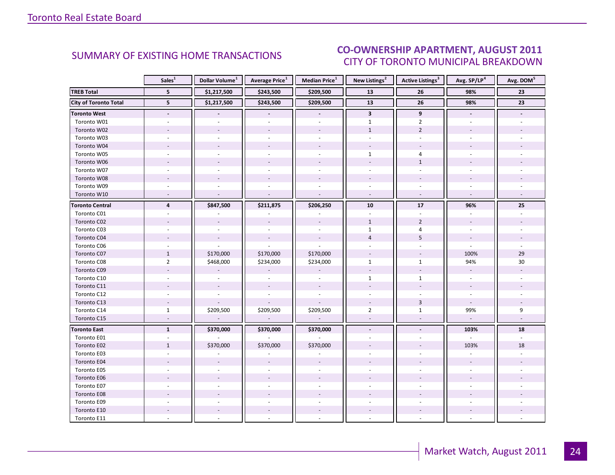### $\overline{\phantom{a}}$  and  $\overline{\phantom{a}}$  and  $\overline{\phantom{a}}$ CITY OF TORONTO MUNICIPAL BREAKDOWN SUMMARY OF EXISTING HOME TRANSACTIONS<br>CITY OF TOPONTO MUINICIPAL PREAKDOMAL

<span id="page-23-0"></span>

|                              | Sales <sup>1</sup>       | Dollar Volume <sup>1</sup> | <b>Average Price</b> <sup>1</sup> | Median Price <sup>1</sup> | New Listings <sup>2</sup> | <b>Active Listings<sup>3</sup></b> | Avg. SP/LP <sup>4</sup>  | Avg. DOM <sup>5</sup> |
|------------------------------|--------------------------|----------------------------|-----------------------------------|---------------------------|---------------------------|------------------------------------|--------------------------|-----------------------|
| <b>TREB Total</b>            | 5                        | \$1,217,500                | \$243,500                         | \$209,500                 | 13                        | 26                                 | 98%                      | 23                    |
| <b>City of Toronto Total</b> | 5                        | \$1,217,500                | \$243,500                         | \$209,500                 | 13                        | 26                                 | 98%                      | 23                    |
| Toronto West                 | $\overline{\phantom{a}}$ |                            |                                   | $\overline{\phantom{a}}$  | $\overline{\mathbf{3}}$   | 9                                  | $\overline{\phantom{a}}$ |                       |
| Toronto W01                  |                          |                            |                                   |                           | $\mathbf{1}$              | $\overline{2}$                     |                          |                       |
| Toronto W02                  |                          |                            |                                   |                           | $\mathbf{1}$              | $\overline{2}$                     |                          |                       |
| Toronto W03                  | $\sim$                   |                            | $\overline{a}$                    | $\sim$                    | ÷.                        | ÷.                                 |                          |                       |
| Toronto W04                  |                          |                            |                                   |                           |                           |                                    |                          |                       |
| Toronto W05                  |                          |                            |                                   |                           | $\mathbf{1}$              | 4                                  |                          |                       |
| Toronto W06                  |                          |                            |                                   |                           |                           | $\mathbf{1}$                       |                          |                       |
| Toronto W07                  |                          |                            |                                   | $\overline{a}$            |                           | ä,                                 |                          |                       |
| Toronto W08                  |                          |                            |                                   |                           |                           |                                    |                          |                       |
| Toronto W09                  |                          |                            |                                   |                           | $\overline{\phantom{a}}$  | ÷.                                 |                          |                       |
| Toronto W10                  | ÷.                       |                            |                                   | $\sim$                    | $\sim$                    | $\mathcal{L}$                      |                          |                       |
| <b>Toronto Central</b>       | $\overline{4}$           | \$847,500                  | \$211,875                         | \$206,250                 | 10                        | 17                                 | 96%                      | 25                    |
| Toronto C01                  |                          |                            |                                   |                           |                           |                                    |                          |                       |
| Toronto C02                  |                          |                            | $\overline{\phantom{a}}$          | $\sim$                    | $\mathbf{1}$              | $\overline{2}$                     |                          |                       |
| Toronto C03                  | $\sim$                   |                            | $\sim$                            | $\sim$                    | $\mathbf{1}$              | 4                                  | $\sim$                   |                       |
| Toronto C04                  |                          |                            | $\overline{\phantom{a}}$          | $\sim$                    | $\overline{4}$            | 5                                  |                          |                       |
| Toronto C06                  |                          |                            |                                   |                           |                           |                                    |                          |                       |
| Toronto C07                  | $\mathbf{1}$             | \$170,000                  | \$170,000                         | \$170,000                 | $\overline{\phantom{a}}$  | $\overline{\phantom{a}}$           | 100%                     | 29                    |
| Toronto C08                  | $\overline{2}$           | \$468,000                  | \$234,000                         | \$234,000                 | $\mathbf{1}$              | $\mathbf{1}$                       | 94%                      | 30                    |
| Toronto C09                  |                          |                            |                                   |                           |                           |                                    | $\sim$                   |                       |
| Toronto C10                  |                          |                            |                                   |                           | $\mathbf{1}$              | $\mathbf{1}$                       |                          |                       |
| Toronto C11                  |                          | $\overline{\phantom{a}}$   | $\overline{\phantom{a}}$          | $\sim$                    |                           |                                    |                          |                       |
| Toronto C12                  | ÷.                       |                            | $\bar{\phantom{a}}$               | $\overline{\phantom{a}}$  | $\overline{\phantom{a}}$  | $\sim$                             | $\sim$                   |                       |
| Toronto C13                  |                          |                            |                                   |                           |                           | 3                                  | $\overline{\phantom{a}}$ |                       |
| Toronto C14                  | $\mathbf{1}$             | \$209,500                  | \$209,500                         | \$209,500                 | $\overline{2}$            | $\mathbf{1}$                       | 99%                      | 9                     |
| Toronto C15                  | $\sim$                   | $\blacksquare$             | $\omega$                          | $\mathbb{Z}^2$            | $\sim$                    | $\sim$                             | $\omega$                 |                       |
| <b>Toronto East</b>          | $\mathbf{1}$             | \$370,000                  | \$370,000                         | \$370,000                 | $\blacksquare$            |                                    | 103%                     | 18                    |
| Toronto E01                  |                          |                            |                                   |                           |                           |                                    |                          |                       |
| Toronto E02                  | $\mathbf{1}$             | \$370,000                  | \$370,000                         | \$370,000                 |                           |                                    | 103%                     | 18                    |
| Toronto E03                  |                          |                            |                                   |                           |                           |                                    |                          |                       |
| Toronto E04                  |                          |                            |                                   |                           |                           |                                    |                          |                       |
| Toronto E05                  |                          |                            |                                   |                           |                           |                                    |                          |                       |
| Toronto E06                  |                          |                            |                                   |                           |                           |                                    |                          |                       |
| Toronto E07                  |                          |                            |                                   |                           |                           |                                    |                          |                       |
| Toronto E08                  |                          |                            |                                   |                           |                           |                                    |                          |                       |
| Toronto E09                  |                          |                            |                                   |                           |                           |                                    |                          |                       |
| Toronto E10                  |                          |                            |                                   |                           |                           |                                    |                          |                       |
| Toronto E11                  |                          |                            |                                   |                           |                           |                                    |                          |                       |